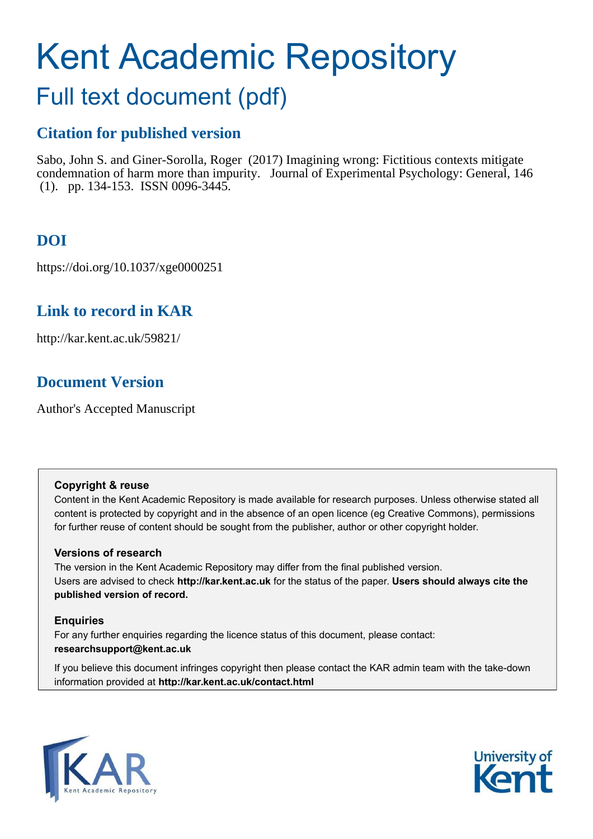# Kent Academic Repository

## Full text document (pdf)

## **Citation for published version**

Sabo, John S. and Giner-Sorolla, Roger (2017) Imagining wrong: Fictitious contexts mitigate condemnation of harm more than impurity. Journal of Experimental Psychology: General, 146 (1). pp. 134-153. ISSN 0096-3445.

## **DOI**

https://doi.org/10.1037/xge0000251

## **Link to record in KAR**

http://kar.kent.ac.uk/59821/

## **Document Version**

Author's Accepted Manuscript

#### **Copyright & reuse**

Content in the Kent Academic Repository is made available for research purposes. Unless otherwise stated all content is protected by copyright and in the absence of an open licence (eg Creative Commons), permissions for further reuse of content should be sought from the publisher, author or other copyright holder.

#### **Versions of research**

The version in the Kent Academic Repository may differ from the final published version. Users are advised to check **http://kar.kent.ac.uk** for the status of the paper. **Users should always cite the published version of record.**

#### **Enquiries**

For any further enquiries regarding the licence status of this document, please contact: **researchsupport@kent.ac.uk**

If you believe this document infringes copyright then please contact the KAR admin team with the take-down information provided at **http://kar.kent.ac.uk/contact.html**



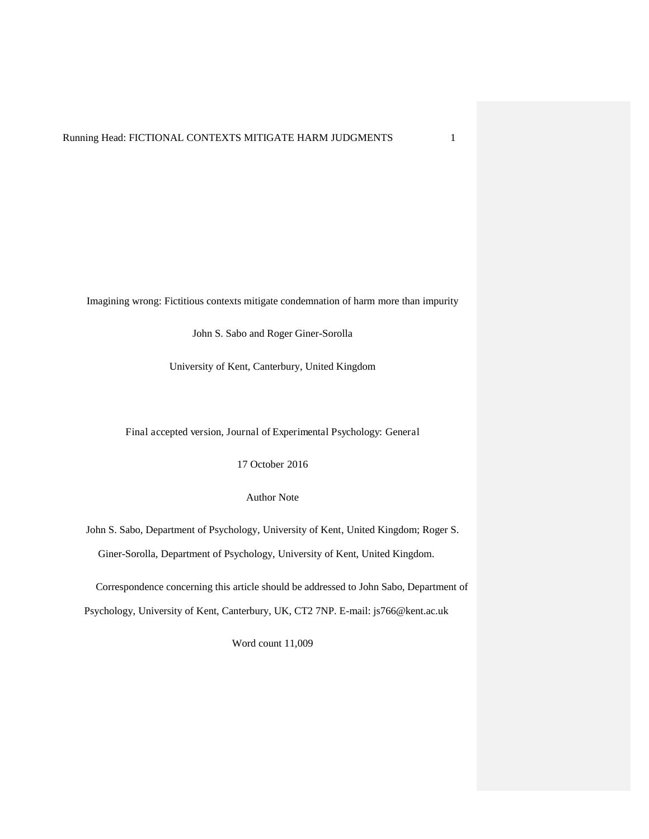Imagining wrong: Fictitious contexts mitigate condemnation of harm more than impurity

John S. Sabo and Roger Giner-Sorolla

University of Kent, Canterbury, United Kingdom

Final accepted version, Journal of Experimental Psychology: General

17 October 2016

Author Note

John S. Sabo, Department of Psychology, University of Kent, United Kingdom; Roger S. Giner-Sorolla, Department of Psychology, University of Kent, United Kingdom.

Correspondence concerning this article should be addressed to John Sabo, Department of Psychology, University of Kent, Canterbury, UK, CT2 7NP. E-mail: js766@kent.ac.uk

Word count 11,009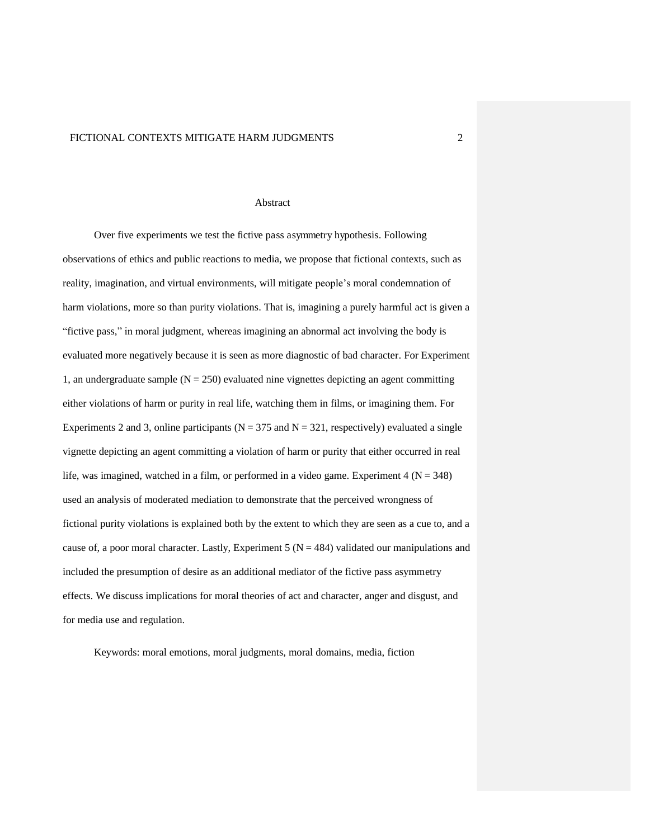#### **Abstract**

Over five experiments we test the fictive pass asymmetry hypothesis. Following observations of ethics and public reactions to media, we propose that fictional contexts, such as reality, imagination, and virtual environments, will mitigate people's moral condemnation of harm violations, more so than purity violations. That is, imagining a purely harmful act is given a "fictive pass," in moral judgment, whereas imagining an abnormal act involving the body is evaluated more negatively because it is seen as more diagnostic of bad character. For Experiment 1, an undergraduate sample ( $N = 250$ ) evaluated nine vignettes depicting an agent committing either violations of harm or purity in real life, watching them in films, or imagining them. For Experiments 2 and 3, online participants ( $N = 375$  and  $N = 321$ , respectively) evaluated a single vignette depicting an agent committing a violation of harm or purity that either occurred in real life, was imagined, watched in a film, or performed in a video game. Experiment  $4 (N = 348)$ used an analysis of moderated mediation to demonstrate that the perceived wrongness of fictional purity violations is explained both by the extent to which they are seen as a cue to, and a cause of, a poor moral character. Lastly, Experiment  $5 (N = 484)$  validated our manipulations and included the presumption of desire as an additional mediator of the fictive pass asymmetry effects. We discuss implications for moral theories of act and character, anger and disgust, and for media use and regulation.

Keywords: moral emotions, moral judgments, moral domains, media, fiction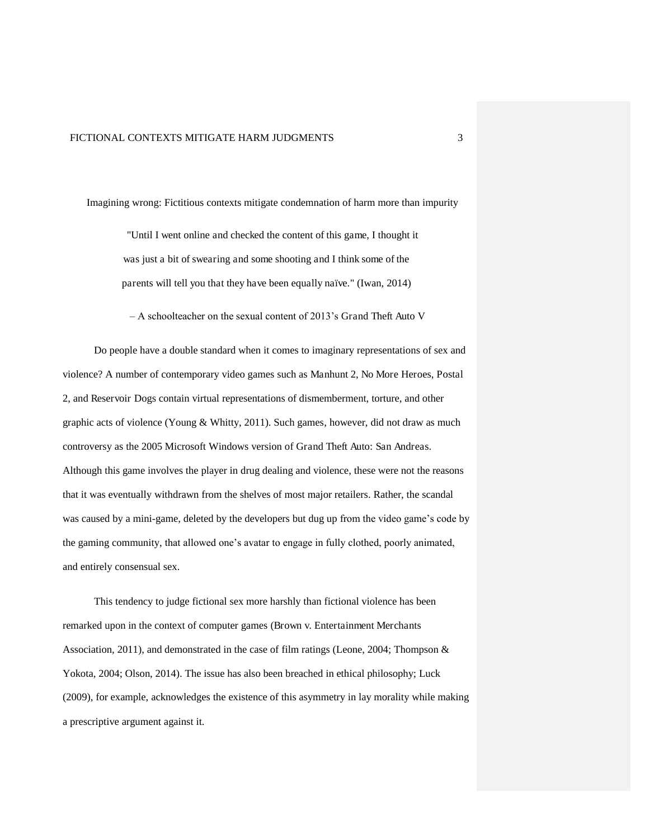Imagining wrong: Fictitious contexts mitigate condemnation of harm more than impurity

"Until I went online and checked the content of this game, I thought it was just a bit of swearing and some shooting and I think some of the parents will tell you that they have been equally naïve." (Iwan, 2014)

– A schoolteacher on the sexual content of 2013's Grand Theft Auto V

Do people have a double standard when it comes to imaginary representations of sex and violence? A number of contemporary video games such as Manhunt 2, No More Heroes, Postal 2, and Reservoir Dogs contain virtual representations of dismemberment, torture, and other graphic acts of violence (Young & Whitty, 2011). Such games, however, did not draw as much controversy as the 2005 Microsoft Windows version of Grand Theft Auto: San Andreas. Although this game involves the player in drug dealing and violence, these were not the reasons that it was eventually withdrawn from the shelves of most major retailers. Rather, the scandal was caused by a mini-game, deleted by the developers but dug up from the video game's code by the gaming community, that allowed one's avatar to engage in fully clothed, poorly animated, and entirely consensual sex.

This tendency to judge fictional sex more harshly than fictional violence has been remarked upon in the context of computer games (Brown v. Entertainment Merchants Association, 2011), and demonstrated in the case of film ratings (Leone, 2004; Thompson & Yokota, 2004; Olson, 2014). The issue has also been breached in ethical philosophy; Luck (2009), for example, acknowledges the existence of this asymmetry in lay morality while making a prescriptive argument against it.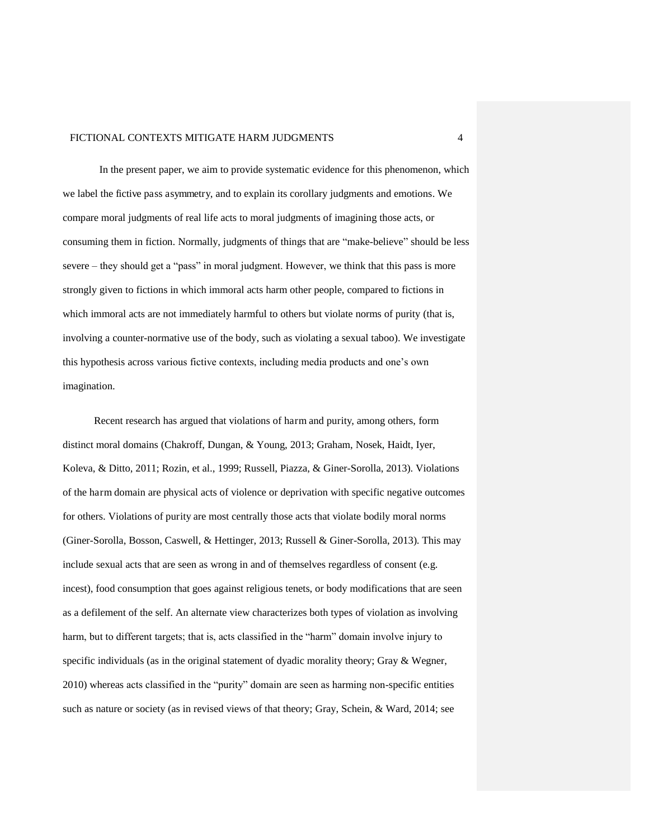In the present paper, we aim to provide systematic evidence for this phenomenon, which we label the fictive pass asymmetry, and to explain its corollary judgments and emotions. We compare moral judgments of real life acts to moral judgments of imagining those acts, or consuming them in fiction. Normally, judgments of things that are "make-believe" should be less severe – they should get a "pass" in moral judgment. However, we think that this pass is more strongly given to fictions in which immoral acts harm other people, compared to fictions in which immoral acts are not immediately harmful to others but violate norms of purity (that is, involving a counter-normative use of the body, such as violating a sexual taboo). We investigate this hypothesis across various fictive contexts, including media products and one's own imagination.

Recent research has argued that violations of harm and purity, among others, form distinct moral domains (Chakroff, Dungan, & Young, 2013; Graham, Nosek, Haidt, Iyer, Koleva, & Ditto, 2011; Rozin, et al., 1999; Russell, Piazza, & Giner-Sorolla, 2013). Violations of the harm domain are physical acts of violence or deprivation with specific negative outcomes for others. Violations of purity are most centrally those acts that violate bodily moral norms (Giner-Sorolla, Bosson, Caswell, & Hettinger, 2013; Russell & Giner-Sorolla, 2013). This may include sexual acts that are seen as wrong in and of themselves regardless of consent (e.g. incest), food consumption that goes against religious tenets, or body modifications that are seen as a defilement of the self. An alternate view characterizes both types of violation as involving harm, but to different targets; that is, acts classified in the "harm" domain involve injury to specific individuals (as in the original statement of dyadic morality theory; Gray  $\&$  Wegner, 2010) whereas acts classified in the "purity" domain are seen as harming non-specific entities such as nature or society (as in revised views of that theory; Gray, Schein, & Ward, 2014; see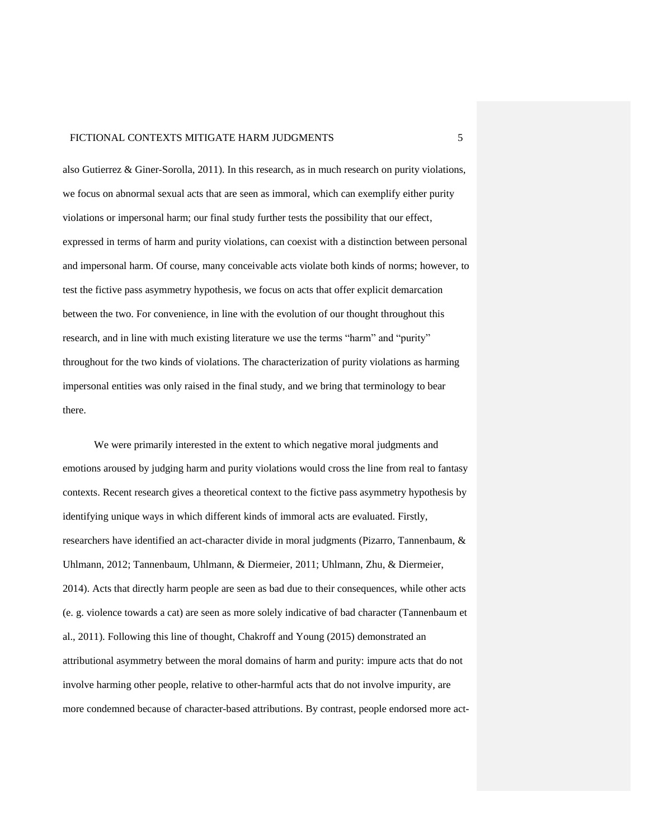also Gutierrez & Giner-Sorolla, 2011). In this research, as in much research on purity violations, we focus on abnormal sexual acts that are seen as immoral, which can exemplify either purity violations or impersonal harm; our final study further tests the possibility that our effect, expressed in terms of harm and purity violations, can coexist with a distinction between personal and impersonal harm. Of course, many conceivable acts violate both kinds of norms; however, to test the fictive pass asymmetry hypothesis, we focus on acts that offer explicit demarcation between the two. For convenience, in line with the evolution of our thought throughout this research, and in line with much existing literature we use the terms "harm" and "purity" throughout for the two kinds of violations. The characterization of purity violations as harming impersonal entities was only raised in the final study, and we bring that terminology to bear there.

We were primarily interested in the extent to which negative moral judgments and emotions aroused by judging harm and purity violations would cross the line from real to fantasy contexts. Recent research gives a theoretical context to the fictive pass asymmetry hypothesis by identifying unique ways in which different kinds of immoral acts are evaluated. Firstly, researchers have identified an act-character divide in moral judgments (Pizarro, Tannenbaum, & Uhlmann, 2012; Tannenbaum, Uhlmann, & Diermeier, 2011; Uhlmann, Zhu, & Diermeier, 2014). Acts that directly harm people are seen as bad due to their consequences, while other acts (e. g. violence towards a cat) are seen as more solely indicative of bad character (Tannenbaum et al., 2011). Following this line of thought, Chakroff and Young (2015) demonstrated an attributional asymmetry between the moral domains of harm and purity: impure acts that do not involve harming other people, relative to other-harmful acts that do not involve impurity, are more condemned because of character-based attributions. By contrast, people endorsed more act-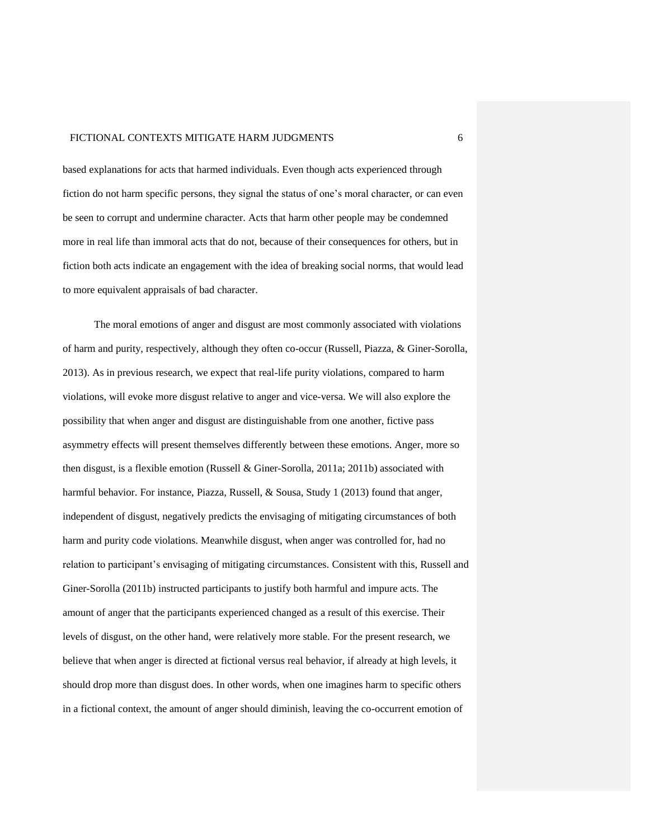based explanations for acts that harmed individuals. Even though acts experienced through fiction do not harm specific persons, they signal the status of one's moral character, or can even be seen to corrupt and undermine character. Acts that harm other people may be condemned more in real life than immoral acts that do not, because of their consequences for others, but in fiction both acts indicate an engagement with the idea of breaking social norms, that would lead to more equivalent appraisals of bad character.

The moral emotions of anger and disgust are most commonly associated with violations of harm and purity, respectively, although they often co-occur (Russell, Piazza, & Giner-Sorolla, 2013). As in previous research, we expect that real-life purity violations, compared to harm violations, will evoke more disgust relative to anger and vice-versa. We will also explore the possibility that when anger and disgust are distinguishable from one another, fictive pass asymmetry effects will present themselves differently between these emotions. Anger, more so then disgust, is a flexible emotion (Russell & Giner-Sorolla, 2011a; 2011b) associated with harmful behavior. For instance, Piazza, Russell, & Sousa, Study 1 (2013) found that anger, independent of disgust, negatively predicts the envisaging of mitigating circumstances of both harm and purity code violations. Meanwhile disgust, when anger was controlled for, had no relation to participant's envisaging of mitigating circumstances. Consistent with this, Russell and Giner-Sorolla (2011b) instructed participants to justify both harmful and impure acts. The amount of anger that the participants experienced changed as a result of this exercise. Their levels of disgust, on the other hand, were relatively more stable. For the present research, we believe that when anger is directed at fictional versus real behavior, if already at high levels, it should drop more than disgust does. In other words, when one imagines harm to specific others in a fictional context, the amount of anger should diminish, leaving the co-occurrent emotion of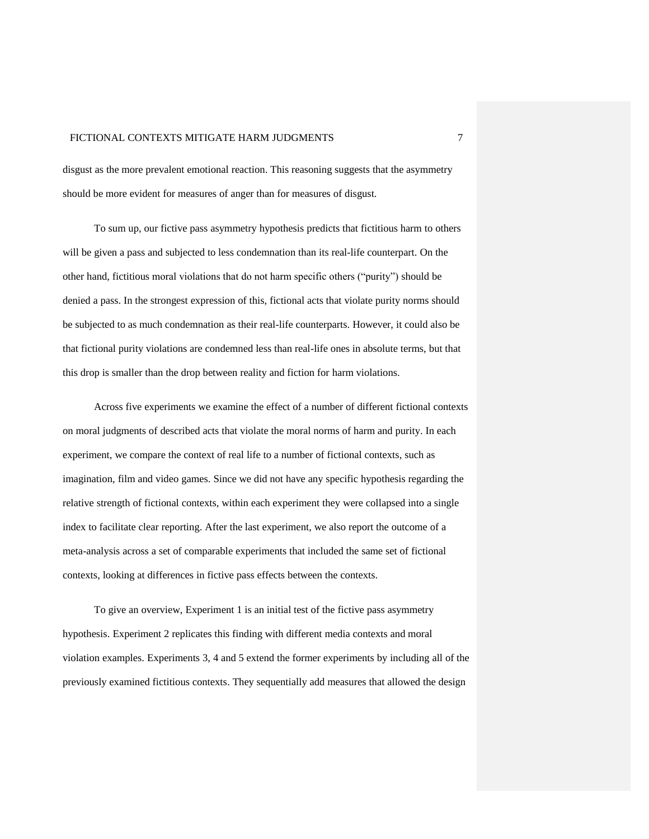disgust as the more prevalent emotional reaction. This reasoning suggests that the asymmetry should be more evident for measures of anger than for measures of disgust.

To sum up, our fictive pass asymmetry hypothesis predicts that fictitious harm to others will be given a pass and subjected to less condemnation than its real-life counterpart. On the other hand, fictitious moral violations that do not harm specific others ("purity") should be denied a pass. In the strongest expression of this, fictional acts that violate purity norms should be subjected to as much condemnation as their real-life counterparts. However, it could also be that fictional purity violations are condemned less than real-life ones in absolute terms, but that this drop is smaller than the drop between reality and fiction for harm violations.

Across five experiments we examine the effect of a number of different fictional contexts on moral judgments of described acts that violate the moral norms of harm and purity. In each experiment, we compare the context of real life to a number of fictional contexts, such as imagination, film and video games. Since we did not have any specific hypothesis regarding the relative strength of fictional contexts, within each experiment they were collapsed into a single index to facilitate clear reporting. After the last experiment, we also report the outcome of a meta-analysis across a set of comparable experiments that included the same set of fictional contexts, looking at differences in fictive pass effects between the contexts.

To give an overview, Experiment 1 is an initial test of the fictive pass asymmetry hypothesis. Experiment 2 replicates this finding with different media contexts and moral violation examples. Experiments 3, 4 and 5 extend the former experiments by including all of the previously examined fictitious contexts. They sequentially add measures that allowed the design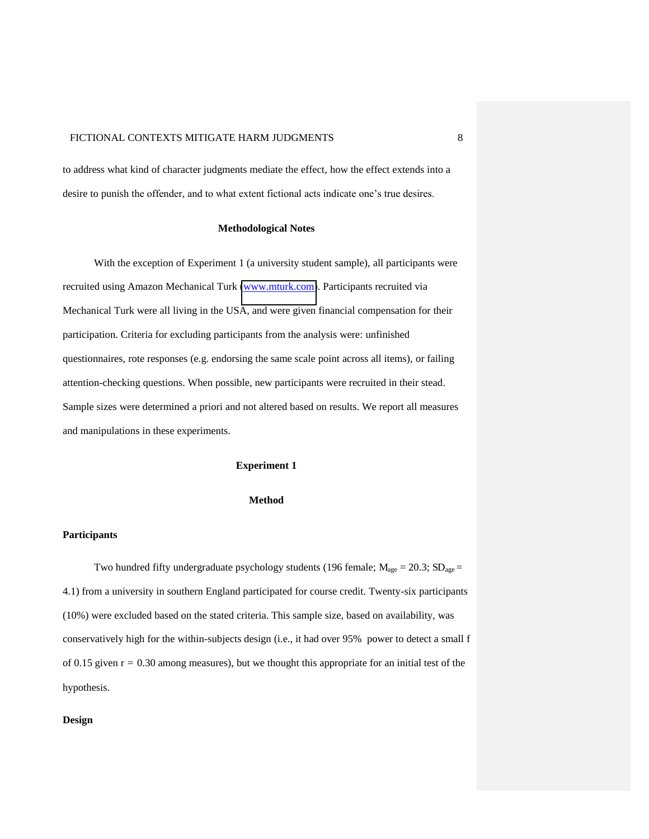to address what kind of character judgments mediate the effect, how the effect extends into a desire to punish the offender, and to what extent fictional acts indicate one's true desires.

#### **Methodological Notes**

With the exception of Experiment 1 (a university student sample), all participants were recruited using Amazon Mechanical Turk [\(www.mturk.com\)](http://www.mturk.com/). Participants recruited via Mechanical Turk were all living in the USA, and were given financial compensation for their participation. Criteria for excluding participants from the analysis were: unfinished questionnaires, rote responses (e.g. endorsing the same scale point across all items), or failing attention-checking questions. When possible, new participants were recruited in their stead. Sample sizes were determined a priori and not altered based on results. We report all measures and manipulations in these experiments.

#### **Experiment 1**

#### **Method**

#### **Participants**

Two hundred fifty undergraduate psychology students (196 female;  $M_{\text{age}} = 20.3$ ;  $SD_{\text{age}} =$ 4.1) from a university in southern England participated for course credit. Twenty-six participants (10%) were excluded based on the stated criteria. This sample size, based on availability, was conservatively high for the within-subjects design (i.e., it had over 95% power to detect a small f of 0.15 given  $r = 0.30$  among measures), but we thought this appropriate for an initial test of the hypothesis.

#### **Design**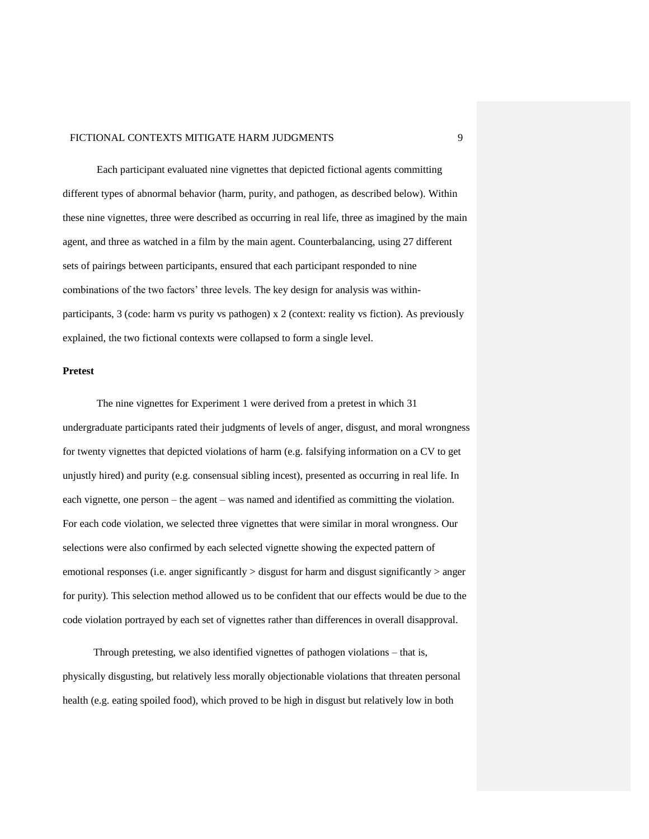Each participant evaluated nine vignettes that depicted fictional agents committing different types of abnormal behavior (harm, purity, and pathogen, as described below). Within these nine vignettes, three were described as occurring in real life, three as imagined by the main agent, and three as watched in a film by the main agent. Counterbalancing, using 27 different sets of pairings between participants, ensured that each participant responded to nine combinations of the two factors' three levels. The key design for analysis was withinparticipants, 3 (code: harm vs purity vs pathogen) x 2 (context: reality vs fiction). As previously explained, the two fictional contexts were collapsed to form a single level.

#### **Pretest**

The nine vignettes for Experiment 1 were derived from a pretest in which 31 undergraduate participants rated their judgments of levels of anger, disgust, and moral wrongness for twenty vignettes that depicted violations of harm (e.g. falsifying information on a CV to get unjustly hired) and purity (e.g. consensual sibling incest), presented as occurring in real life. In each vignette, one person – the agent – was named and identified as committing the violation. For each code violation, we selected three vignettes that were similar in moral wrongness. Our selections were also confirmed by each selected vignette showing the expected pattern of emotional responses (i.e. anger significantly > disgust for harm and disgust significantly > anger for purity). This selection method allowed us to be confident that our effects would be due to the code violation portrayed by each set of vignettes rather than differences in overall disapproval.

Through pretesting, we also identified vignettes of pathogen violations – that is, physically disgusting, but relatively less morally objectionable violations that threaten personal health (e.g. eating spoiled food), which proved to be high in disgust but relatively low in both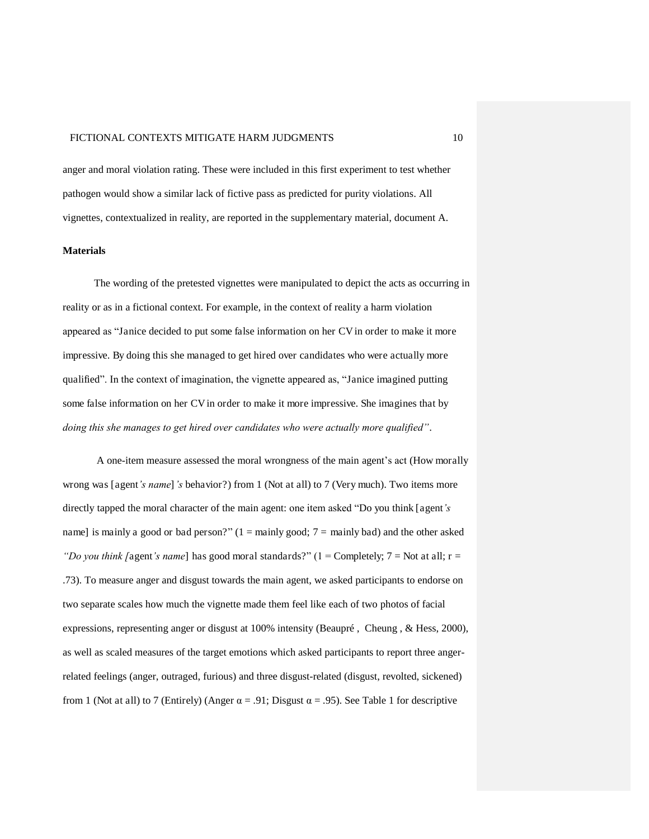anger and moral violation rating. These were included in this first experiment to test whether pathogen would show a similar lack of fictive pass as predicted for purity violations. All vignettes, contextualized in reality, are reported in the supplementary material, document A.

#### **Materials**

The wording of the pretested vignettes were manipulated to depict the acts as occurring in reality or as in a fictional context. For example, in the context of reality a harm violation appeared as "Janice decided to put some false information on her CV in order to make it more impressive. By doing this she managed to get hired over candidates who were actually more qualified". In the context of imagination, the vignette appeared as, "Janice imagined putting some false information on her CV in order to make it more impressive. She imagines that by *doing this she manages to get hired over candidates who were actually more qualified"*.

A one-item measure assessed the moral wrongness of the main agent's act (How morally wrong was [agent*'s name*]*'s* behavior?) from 1 (Not at all) to 7 (Very much). Two items more directly tapped the moral character of the main agent: one item asked "Do you think [agent*'s*  name] is mainly a good or bad person?"  $(1 = \text{mainly good}; 7 = \text{mainly bad})$  and the other asked *"Do you think [agent's name]* has good moral standards?" (1 = Completely; 7 = Not at all;  $r =$ .73). To measure anger and disgust towards the main agent, we asked participants to endorse on two separate scales how much the vignette made them feel like each of two photos of facial expressions, representing anger or disgust at 100% intensity (Beaupré , Cheung , & Hess, 2000), as well as scaled measures of the target emotions which asked participants to report three angerrelated feelings (anger, outraged, furious) and three disgust-related (disgust, revolted, sickened) from 1 (Not at all) to 7 (Entirely) (Anger  $\alpha = .91$ ; Disgust  $\alpha = .95$ ). See Table 1 for descriptive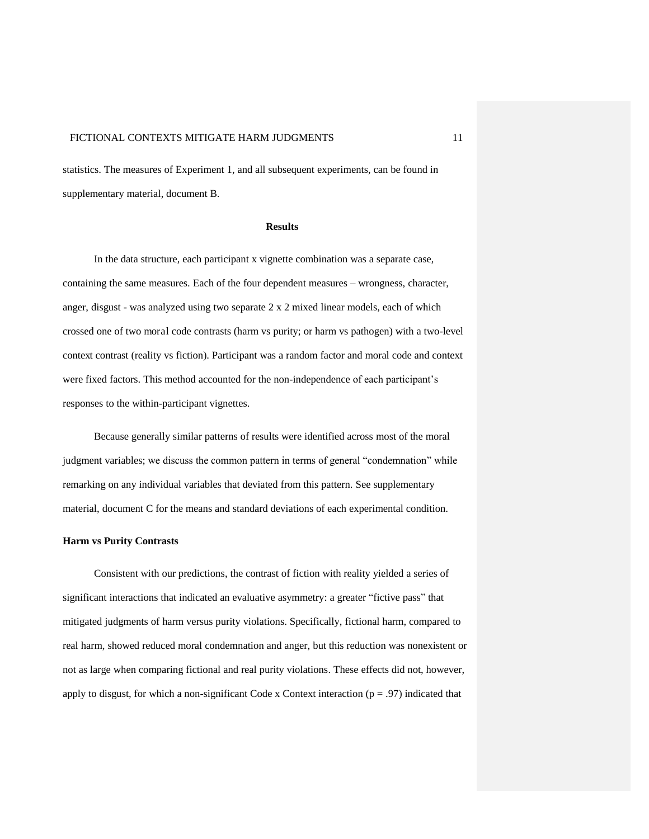statistics. The measures of Experiment 1, and all subsequent experiments, can be found in supplementary material, document B.

#### **Results**

In the data structure, each participant x vignette combination was a separate case, containing the same measures. Each of the four dependent measures – wrongness, character, anger, disgust - was analyzed using two separate  $2 \times 2$  mixed linear models, each of which crossed one of two moral code contrasts (harm vs purity; or harm vs pathogen) with a two-level context contrast (reality vs fiction). Participant was a random factor and moral code and context were fixed factors. This method accounted for the non-independence of each participant's responses to the within-participant vignettes.

Because generally similar patterns of results were identified across most of the moral judgment variables; we discuss the common pattern in terms of general "condemnation" while remarking on any individual variables that deviated from this pattern. See supplementary material, document C for the means and standard deviations of each experimental condition.

#### **Harm vs Purity Contrasts**

Consistent with our predictions, the contrast of fiction with reality yielded a series of significant interactions that indicated an evaluative asymmetry: a greater "fictive pass" that mitigated judgments of harm versus purity violations. Specifically, fictional harm, compared to real harm, showed reduced moral condemnation and anger, but this reduction was nonexistent or not as large when comparing fictional and real purity violations. These effects did not, however, apply to disgust, for which a non-significant Code x Context interaction ( $p = .97$ ) indicated that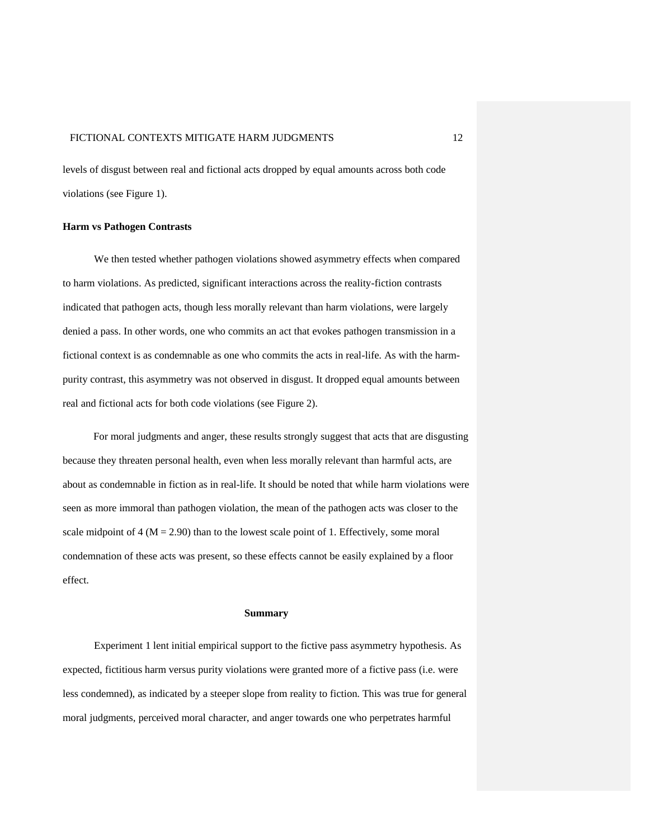levels of disgust between real and fictional acts dropped by equal amounts across both code violations (see Figure 1).

#### **Harm vs Pathogen Contrasts**

We then tested whether pathogen violations showed asymmetry effects when compared to harm violations. As predicted, significant interactions across the reality-fiction contrasts indicated that pathogen acts, though less morally relevant than harm violations, were largely denied a pass. In other words, one who commits an act that evokes pathogen transmission in a fictional context is as condemnable as one who commits the acts in real-life. As with the harmpurity contrast, this asymmetry was not observed in disgust. It dropped equal amounts between real and fictional acts for both code violations (see Figure 2).

 For moral judgments and anger, these results strongly suggest that acts that are disgusting because they threaten personal health, even when less morally relevant than harmful acts, are about as condemnable in fiction as in real-life. It should be noted that while harm violations were seen as more immoral than pathogen violation, the mean of the pathogen acts was closer to the scale midpoint of  $4 (M = 2.90)$  than to the lowest scale point of 1. Effectively, some moral condemnation of these acts was present, so these effects cannot be easily explained by a floor effect.

#### **Summary**

Experiment 1 lent initial empirical support to the fictive pass asymmetry hypothesis. As expected, fictitious harm versus purity violations were granted more of a fictive pass (i.e. were less condemned), as indicated by a steeper slope from reality to fiction. This was true for general moral judgments, perceived moral character, and anger towards one who perpetrates harmful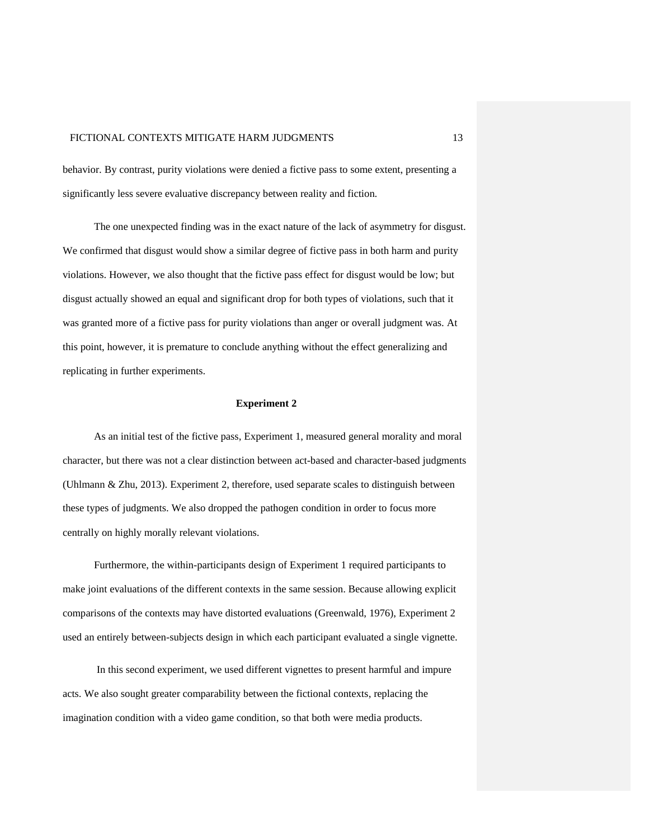behavior. By contrast, purity violations were denied a fictive pass to some extent, presenting a significantly less severe evaluative discrepancy between reality and fiction.

The one unexpected finding was in the exact nature of the lack of asymmetry for disgust. We confirmed that disgust would show a similar degree of fictive pass in both harm and purity violations. However, we also thought that the fictive pass effect for disgust would be low; but disgust actually showed an equal and significant drop for both types of violations, such that it was granted more of a fictive pass for purity violations than anger or overall judgment was. At this point, however, it is premature to conclude anything without the effect generalizing and replicating in further experiments.

#### **Experiment 2**

As an initial test of the fictive pass, Experiment 1, measured general morality and moral character, but there was not a clear distinction between act-based and character-based judgments (Uhlmann & Zhu, 2013). Experiment 2, therefore, used separate scales to distinguish between these types of judgments. We also dropped the pathogen condition in order to focus more centrally on highly morally relevant violations.

Furthermore, the within-participants design of Experiment 1 required participants to make joint evaluations of the different contexts in the same session. Because allowing explicit comparisons of the contexts may have distorted evaluations (Greenwald, 1976), Experiment 2 used an entirely between-subjects design in which each participant evaluated a single vignette.

 In this second experiment, we used different vignettes to present harmful and impure acts. We also sought greater comparability between the fictional contexts, replacing the imagination condition with a video game condition, so that both were media products.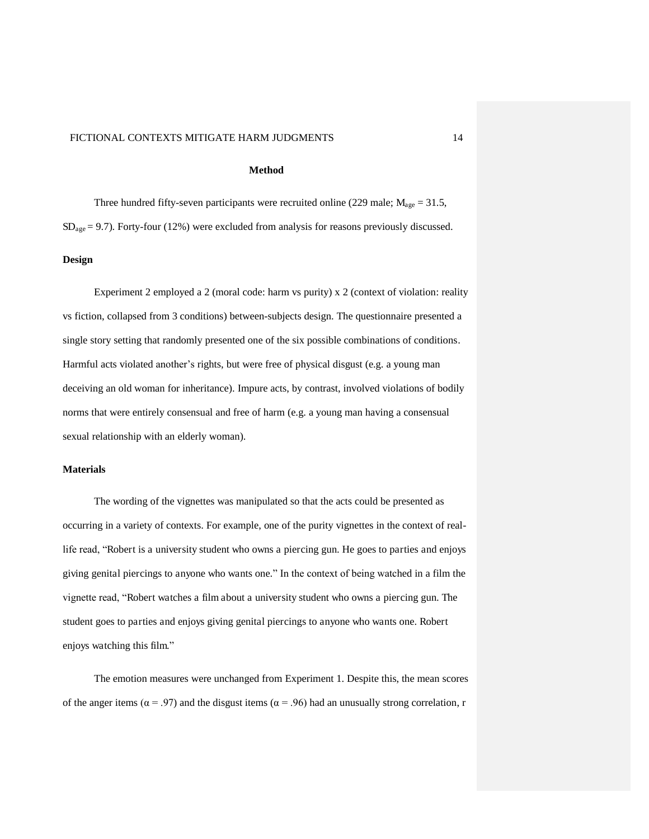#### **Method**

Three hundred fifty-seven participants were recruited online (229 male;  $M_{\text{age}} = 31.5$ ,  $SD<sub>age</sub> = 9.7$ ). Forty-four (12%) were excluded from analysis for reasons previously discussed.

#### **Design**

Experiment 2 employed a 2 (moral code: harm vs purity) x 2 (context of violation: reality vs fiction, collapsed from 3 conditions) between-subjects design. The questionnaire presented a single story setting that randomly presented one of the six possible combinations of conditions. Harmful acts violated another's rights, but were free of physical disgust (e.g. a young man deceiving an old woman for inheritance). Impure acts, by contrast, involved violations of bodily norms that were entirely consensual and free of harm (e.g. a young man having a consensual sexual relationship with an elderly woman).

#### **Materials**

The wording of the vignettes was manipulated so that the acts could be presented as occurring in a variety of contexts. For example, one of the purity vignettes in the context of reallife read, "Robert is a university student who owns a piercing gun. He goes to parties and enjoys giving genital piercings to anyone who wants one." In the context of being watched in a film the vignette read, "Robert watches a film about a university student who owns a piercing gun. The student goes to parties and enjoys giving genital piercings to anyone who wants one. Robert enjoys watching this film."

The emotion measures were unchanged from Experiment 1. Despite this, the mean scores of the anger items ( $\alpha$  = .97) and the disgust items ( $\alpha$  = .96) had an unusually strong correlation, r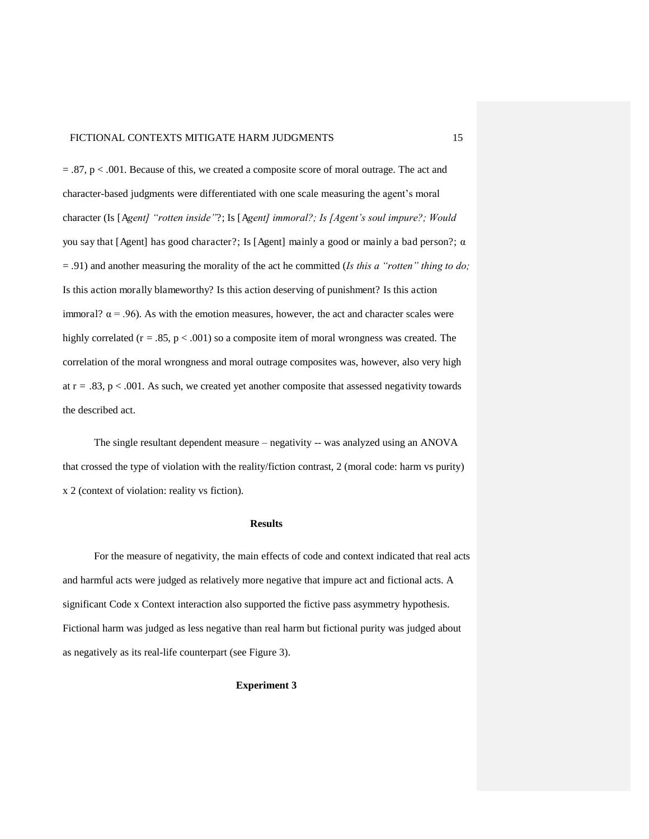$= 0.87$ , p  $< 0.001$ . Because of this, we created a composite score of moral outrage. The act and character-based judgments were differentiated with one scale measuring the agent's moral character (Is [A*gent] "rotten inside"*?; Is [A*gent] immoral?; Is [Agent's soul impure?; Would*  you say that [Agent] has good character?; Is [Agent] mainly a good or mainly a bad person?;  $\alpha$ = .91) and another measuring the morality of the act he committed (*Is this a "rotten" thing to do;*  Is this action morally blameworthy? Is this action deserving of punishment? Is this action immoral?  $\alpha$  = .96). As with the emotion measures, however, the act and character scales were highly correlated (r = .85, p < .001) so a composite item of moral wrongness was created. The correlation of the moral wrongness and moral outrage composites was, however, also very high at  $r = .83$ ,  $p < .001$ . As such, we created yet another composite that assessed negativity towards the described act.

The single resultant dependent measure – negativity -- was analyzed using an ANOVA that crossed the type of violation with the reality/fiction contrast, 2 (moral code: harm vs purity) x 2 (context of violation: reality vs fiction).

#### **Results**

For the measure of negativity, the main effects of code and context indicated that real acts and harmful acts were judged as relatively more negative that impure act and fictional acts. A significant Code x Context interaction also supported the fictive pass asymmetry hypothesis. Fictional harm was judged as less negative than real harm but fictional purity was judged about as negatively as its real-life counterpart (see Figure 3).

#### **Experiment 3**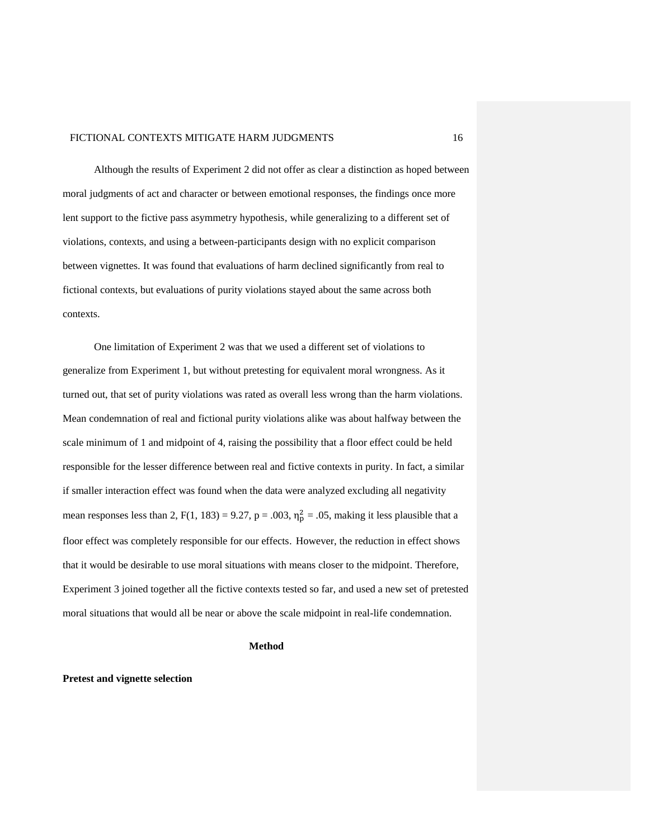Although the results of Experiment 2 did not offer as clear a distinction as hoped between moral judgments of act and character or between emotional responses, the findings once more lent support to the fictive pass asymmetry hypothesis, while generalizing to a different set of violations, contexts, and using a between-participants design with no explicit comparison between vignettes. It was found that evaluations of harm declined significantly from real to fictional contexts, but evaluations of purity violations stayed about the same across both contexts.

One limitation of Experiment 2 was that we used a different set of violations to generalize from Experiment 1, but without pretesting for equivalent moral wrongness. As it turned out, that set of purity violations was rated as overall less wrong than the harm violations. Mean condemnation of real and fictional purity violations alike was about halfway between the scale minimum of 1 and midpoint of 4, raising the possibility that a floor effect could be held responsible for the lesser difference between real and fictive contexts in purity. In fact, a similar if smaller interaction effect was found when the data were analyzed excluding all negativity mean responses less than 2,  $F(1, 183) = 9.27$ ,  $p = .003$ ,  $\eta_p^2 = .05$ , making it less plausible that a floor effect was completely responsible for our effects. However, the reduction in effect shows that it would be desirable to use moral situations with means closer to the midpoint. Therefore, Experiment 3 joined together all the fictive contexts tested so far, and used a new set of pretested moral situations that would all be near or above the scale midpoint in real-life condemnation.

#### **Method**

#### **Pretest and vignette selection**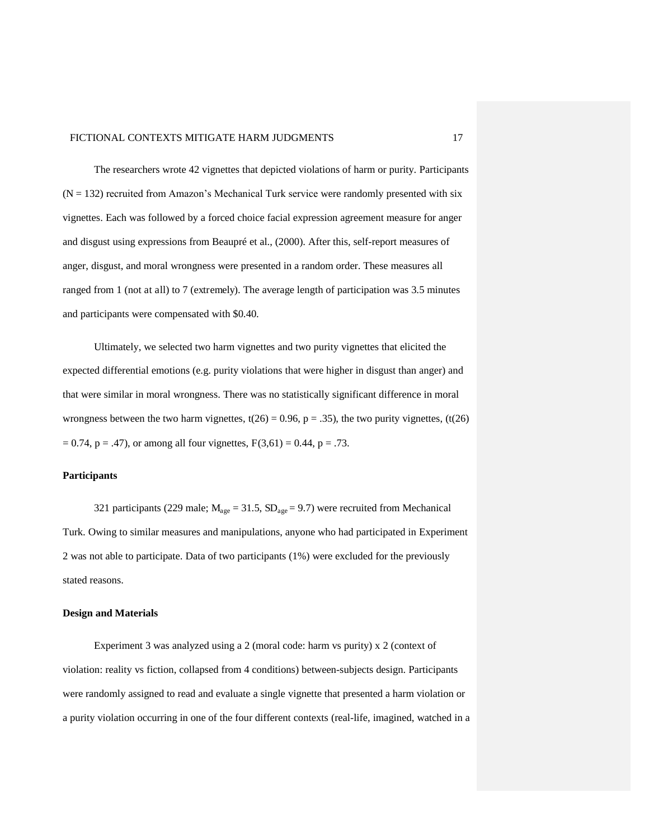The researchers wrote 42 vignettes that depicted violations of harm or purity. Participants  $(N = 132)$  recruited from Amazon's Mechanical Turk service were randomly presented with six vignettes. Each was followed by a forced choice facial expression agreement measure for anger and disgust using expressions from Beaupré et al., (2000). After this, self-report measures of anger, disgust, and moral wrongness were presented in a random order. These measures all ranged from 1 (not at all) to 7 (extremely). The average length of participation was 3.5 minutes and participants were compensated with \$0.40.

 Ultimately, we selected two harm vignettes and two purity vignettes that elicited the expected differential emotions (e.g. purity violations that were higher in disgust than anger) and that were similar in moral wrongness. There was no statistically significant difference in moral wrongness between the two harm vignettes,  $t(26) = 0.96$ ,  $p = .35$ ), the two purity vignettes,  $(t(26)$  $= 0.74$ , p = .47), or among all four vignettes,  $F(3,61) = 0.44$ , p = .73.

#### **Participants**

321 participants (229 male;  $M_{\text{age}} = 31.5$ ,  $SD_{\text{age}} = 9.7$ ) were recruited from Mechanical Turk. Owing to similar measures and manipulations, anyone who had participated in Experiment 2 was not able to participate. Data of two participants (1%) were excluded for the previously stated reasons.

#### **Design and Materials**

Experiment 3 was analyzed using a 2 (moral code: harm vs purity) x 2 (context of violation: reality vs fiction, collapsed from 4 conditions) between-subjects design. Participants were randomly assigned to read and evaluate a single vignette that presented a harm violation or a purity violation occurring in one of the four different contexts (real-life, imagined, watched in a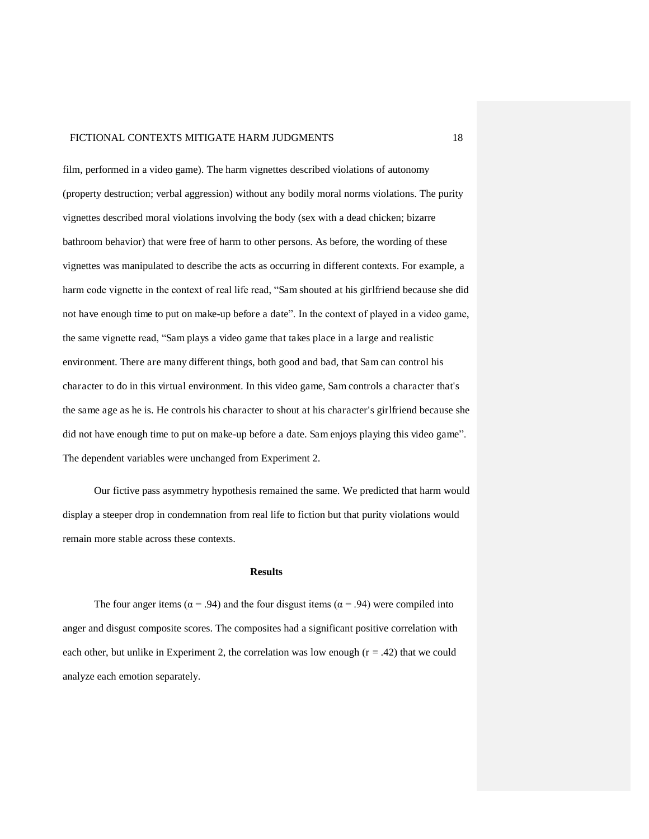film, performed in a video game). The harm vignettes described violations of autonomy (property destruction; verbal aggression) without any bodily moral norms violations. The purity vignettes described moral violations involving the body (sex with a dead chicken; bizarre bathroom behavior) that were free of harm to other persons. As before, the wording of these vignettes was manipulated to describe the acts as occurring in different contexts. For example, a harm code vignette in the context of real life read, "Sam shouted at his girlfriend because she did not have enough time to put on make-up before a date". In the context of played in a video game, the same vignette read, "Sam plays a video game that takes place in a large and realistic environment. There are many different things, both good and bad, that Sam can control his character to do in this virtual environment. In this video game, Sam controls a character that's the same age as he is. He controls his character to shout at his character's girlfriend because she did not have enough time to put on make-up before a date. Sam enjoys playing this video game". The dependent variables were unchanged from Experiment 2.

Our fictive pass asymmetry hypothesis remained the same. We predicted that harm would display a steeper drop in condemnation from real life to fiction but that purity violations would remain more stable across these contexts.

#### **Results**

The four anger items ( $\alpha$  = .94) and the four disgust items ( $\alpha$  = .94) were compiled into anger and disgust composite scores. The composites had a significant positive correlation with each other, but unlike in Experiment 2, the correlation was low enough  $(r = .42)$  that we could analyze each emotion separately.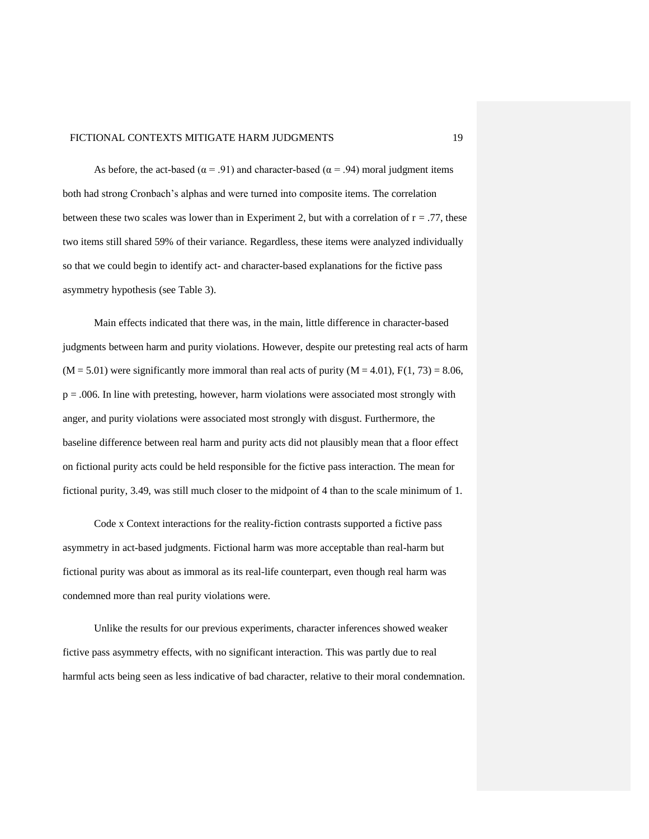As before, the act-based ( $\alpha$  = .91) and character-based ( $\alpha$  = .94) moral judgment items both had strong Cronbach's alphas and were turned into composite items. The correlation between these two scales was lower than in Experiment 2, but with a correlation of  $r = .77$ , these two items still shared 59% of their variance. Regardless, these items were analyzed individually so that we could begin to identify act- and character-based explanations for the fictive pass asymmetry hypothesis (see Table 3).

Main effects indicated that there was, in the main, little difference in character-based judgments between harm and purity violations. However, despite our pretesting real acts of harm  $(M = 5.01)$  were significantly more immoral than real acts of purity  $(M = 4.01)$ ,  $F(1, 73) = 8.06$ , p = .006. In line with pretesting, however, harm violations were associated most strongly with anger, and purity violations were associated most strongly with disgust. Furthermore, the baseline difference between real harm and purity acts did not plausibly mean that a floor effect on fictional purity acts could be held responsible for the fictive pass interaction. The mean for fictional purity, 3.49, was still much closer to the midpoint of 4 than to the scale minimum of 1.

Code x Context interactions for the reality-fiction contrasts supported a fictive pass asymmetry in act-based judgments. Fictional harm was more acceptable than real-harm but fictional purity was about as immoral as its real-life counterpart, even though real harm was condemned more than real purity violations were.

Unlike the results for our previous experiments, character inferences showed weaker fictive pass asymmetry effects, with no significant interaction. This was partly due to real harmful acts being seen as less indicative of bad character, relative to their moral condemnation.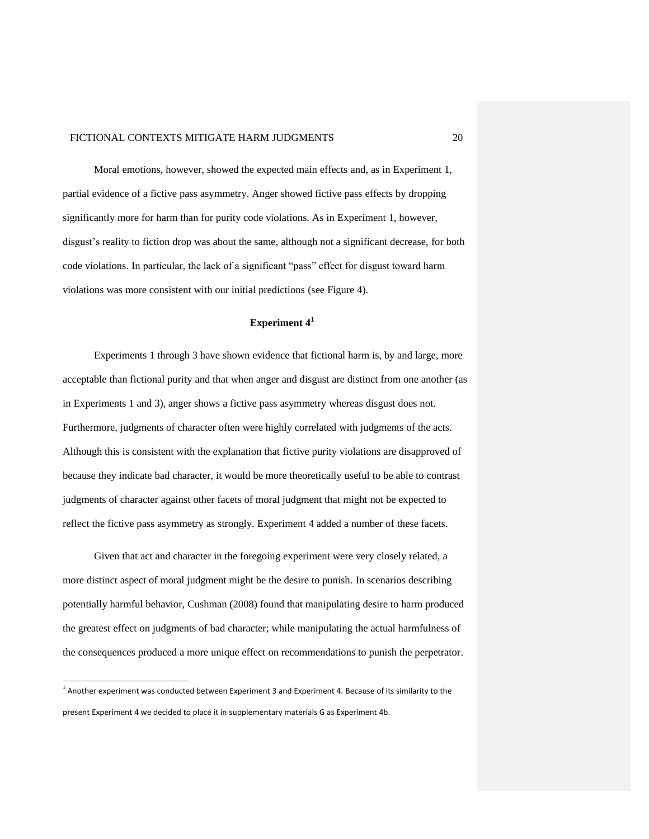Moral emotions, however, showed the expected main effects and, as in Experiment 1, partial evidence of a fictive pass asymmetry. Anger showed fictive pass effects by dropping significantly more for harm than for purity code violations. As in Experiment 1, however, disgust's reality to fiction drop was about the same, although not a significant decrease, for both code violations. In particular, the lack of a significant "pass" effect for disgust toward harm violations was more consistent with our initial predictions (see Figure 4).

#### **Experiment 4<sup>1</sup>**

Experiments 1 through 3 have shown evidence that fictional harm is, by and large, more acceptable than fictional purity and that when anger and disgust are distinct from one another (as in Experiments 1 and 3), anger shows a fictive pass asymmetry whereas disgust does not. Furthermore, judgments of character often were highly correlated with judgments of the acts. Although this is consistent with the explanation that fictive purity violations are disapproved of because they indicate bad character, it would be more theoretically useful to be able to contrast judgments of character against other facets of moral judgment that might not be expected to reflect the fictive pass asymmetry as strongly. Experiment 4 added a number of these facets.

Given that act and character in the foregoing experiment were very closely related, a more distinct aspect of moral judgment might be the desire to punish. In scenarios describing potentially harmful behavior, Cushman (2008) found that manipulating desire to harm produced the greatest effect on judgments of bad character; while manipulating the actual harmfulness of the consequences produced a more unique effect on recommendations to punish the perpetrator.

 $\overline{a}$ 

<sup>&</sup>lt;sup>1</sup> Another experiment was conducted between Experiment 3 and Experiment 4. Because of its similarity to the present Experiment 4 we decided to place it in supplementary materials G as Experiment 4b.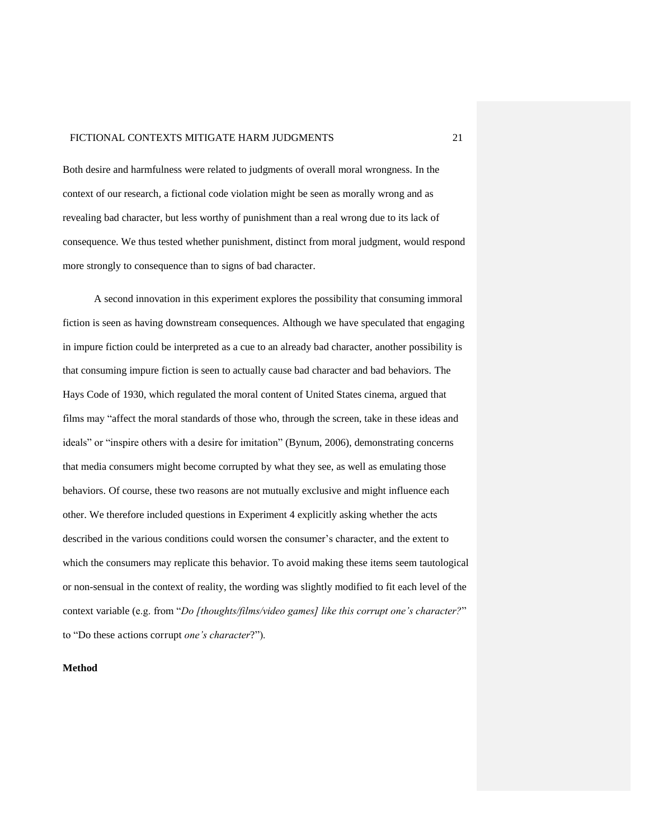Both desire and harmfulness were related to judgments of overall moral wrongness. In the context of our research, a fictional code violation might be seen as morally wrong and as revealing bad character, but less worthy of punishment than a real wrong due to its lack of consequence. We thus tested whether punishment, distinct from moral judgment, would respond more strongly to consequence than to signs of bad character.

A second innovation in this experiment explores the possibility that consuming immoral fiction is seen as having downstream consequences. Although we have speculated that engaging in impure fiction could be interpreted as a cue to an already bad character, another possibility is that consuming impure fiction is seen to actually cause bad character and bad behaviors. The Hays Code of 1930, which regulated the moral content of United States cinema, argued that films may "affect the moral standards of those who, through the screen, take in these ideas and ideals" or "inspire others with a desire for imitation" (Bynum, 2006), demonstrating concerns that media consumers might become corrupted by what they see, as well as emulating those behaviors. Of course, these two reasons are not mutually exclusive and might influence each other. We therefore included questions in Experiment 4 explicitly asking whether the acts described in the various conditions could worsen the consumer's character, and the extent to which the consumers may replicate this behavior. To avoid making these items seem tautological or non-sensual in the context of reality, the wording was slightly modified to fit each level of the context variable (e.g. from "*Do [thoughts/films/video games] like this corrupt one's character?*" to "Do these actions corrupt *one's character*?").

#### **Method**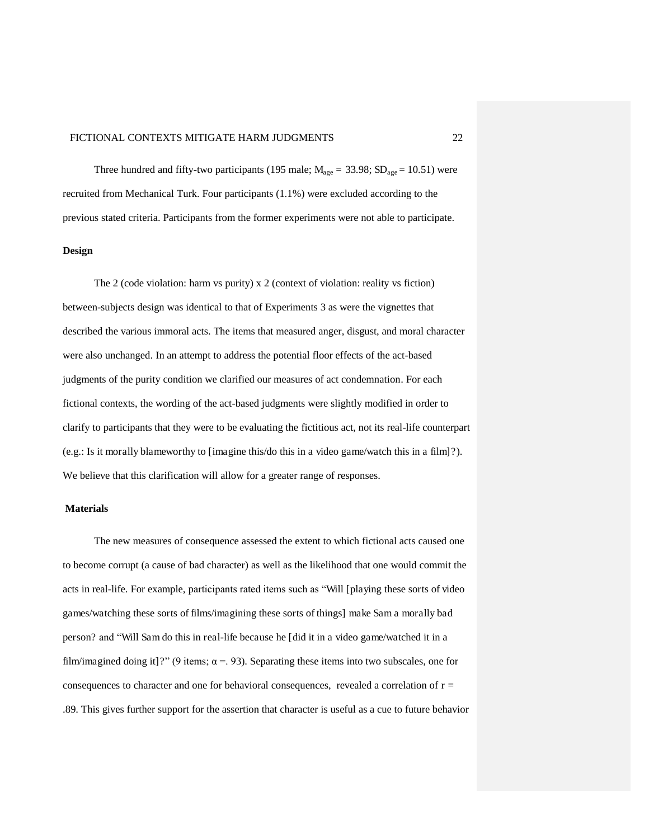Three hundred and fifty-two participants (195 male;  $M_{\text{age}} = 33.98$ ;  $SD_{\text{age}} = 10.51$ ) were recruited from Mechanical Turk. Four participants (1.1%) were excluded according to the previous stated criteria. Participants from the former experiments were not able to participate.

#### **Design**

The 2 (code violation: harm vs purity) x 2 (context of violation: reality vs fiction) between-subjects design was identical to that of Experiments 3 as were the vignettes that described the various immoral acts. The items that measured anger, disgust, and moral character were also unchanged. In an attempt to address the potential floor effects of the act-based judgments of the purity condition we clarified our measures of act condemnation. For each fictional contexts, the wording of the act-based judgments were slightly modified in order to clarify to participants that they were to be evaluating the fictitious act, not its real-life counterpart (e.g.: Is it morally blameworthy to [imagine this/do this in a video game/watch this in a film]?). We believe that this clarification will allow for a greater range of responses.

#### **Materials**

The new measures of consequence assessed the extent to which fictional acts caused one to become corrupt (a cause of bad character) as well as the likelihood that one would commit the acts in real-life. For example, participants rated items such as "Will [playing these sorts of video games/watching these sorts of films/imagining these sorts of things] make Sam a morally bad person? and "Will Sam do this in real-life because he [did it in a video game/watched it in a film/imagined doing it]?" (9 items;  $\alpha = 93$ ). Separating these items into two subscales, one for consequences to character and one for behavioral consequences, revealed a correlation of  $r =$ .89. This gives further support for the assertion that character is useful as a cue to future behavior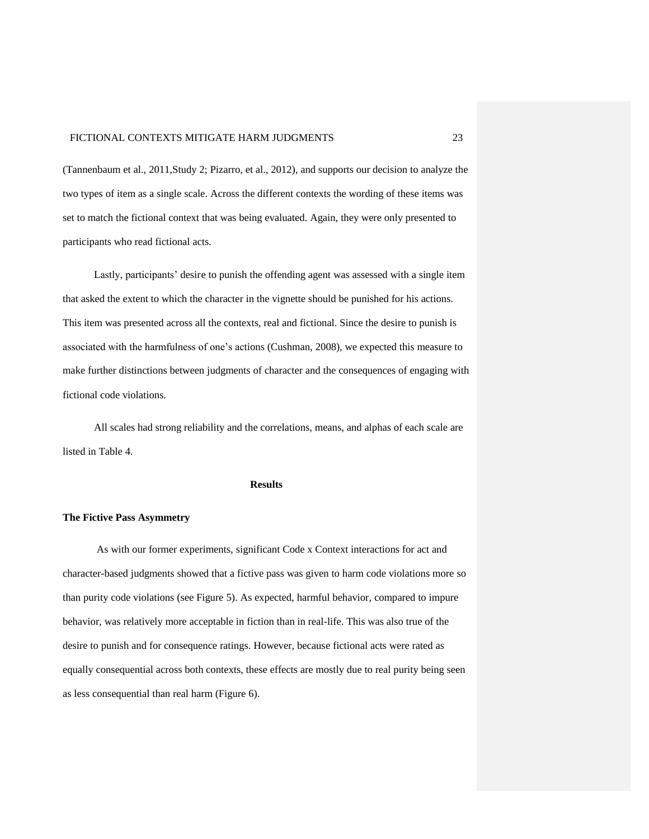(Tannenbaum et al., 2011,Study 2; Pizarro, et al., 2012), and supports our decision to analyze the two types of item as a single scale. Across the different contexts the wording of these items was set to match the fictional context that was being evaluated. Again, they were only presented to participants who read fictional acts.

Lastly, participants' desire to punish the offending agent was assessed with a single item that asked the extent to which the character in the vignette should be punished for his actions. This item was presented across all the contexts, real and fictional. Since the desire to punish is associated with the harmfulness of one's actions (Cushman, 2008), we expected this measure to make further distinctions between judgments of character and the consequences of engaging with fictional code violations.

All scales had strong reliability and the correlations, means, and alphas of each scale are listed in Table 4.

#### **Results**

#### **The Fictive Pass Asymmetry**

As with our former experiments, significant Code x Context interactions for act and character-based judgments showed that a fictive pass was given to harm code violations more so than purity code violations (see Figure 5). As expected, harmful behavior, compared to impure behavior, was relatively more acceptable in fiction than in real-life. This was also true of the desire to punish and for consequence ratings. However, because fictional acts were rated as equally consequential across both contexts, these effects are mostly due to real purity being seen as less consequential than real harm (Figure 6).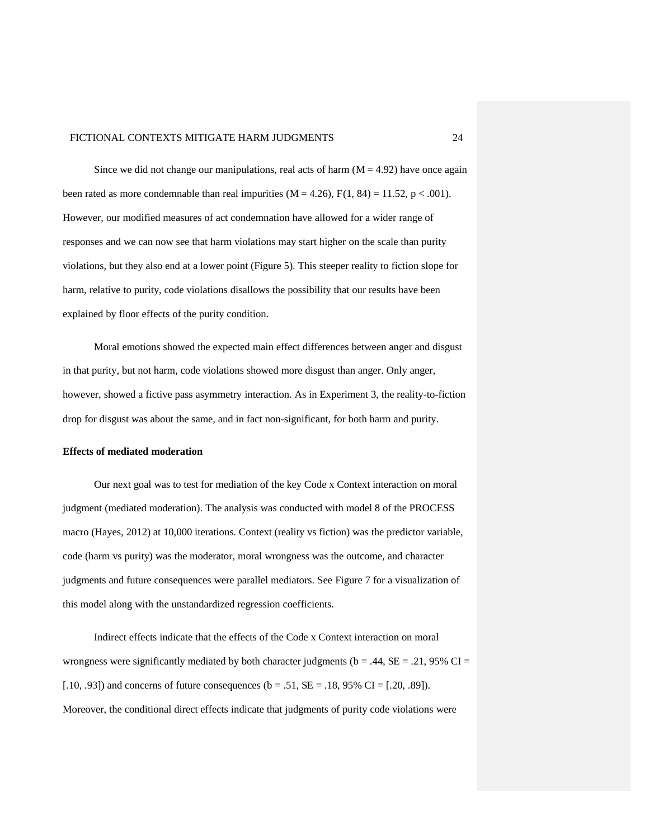Since we did not change our manipulations, real acts of harm  $(M = 4.92)$  have once again been rated as more condemnable than real impurities  $(M = 4.26)$ ,  $F(1, 84) = 11.52$ ,  $p < .001$ ). However, our modified measures of act condemnation have allowed for a wider range of responses and we can now see that harm violations may start higher on the scale than purity violations, but they also end at a lower point (Figure 5). This steeper reality to fiction slope for harm, relative to purity, code violations disallows the possibility that our results have been explained by floor effects of the purity condition.

Moral emotions showed the expected main effect differences between anger and disgust in that purity, but not harm, code violations showed more disgust than anger. Only anger, however, showed a fictive pass asymmetry interaction. As in Experiment 3, the reality-to-fiction drop for disgust was about the same, and in fact non-significant, for both harm and purity.

#### **Effects of mediated moderation**

Our next goal was to test for mediation of the key Code x Context interaction on moral judgment (mediated moderation). The analysis was conducted with model 8 of the PROCESS macro (Hayes, 2012) at 10,000 iterations. Context (reality vs fiction) was the predictor variable, code (harm vs purity) was the moderator, moral wrongness was the outcome, and character judgments and future consequences were parallel mediators. See Figure 7 for a visualization of this model along with the unstandardized regression coefficients.

Indirect effects indicate that the effects of the Code x Context interaction on moral wrongness were significantly mediated by both character judgments ( $b = .44$ ,  $SE = .21$ , 95% CI = [.10, .93]) and concerns of future consequences ( $b = .51$ ,  $SE = .18$ ,  $95\%$  CI = [.20, .89]). Moreover, the conditional direct effects indicate that judgments of purity code violations were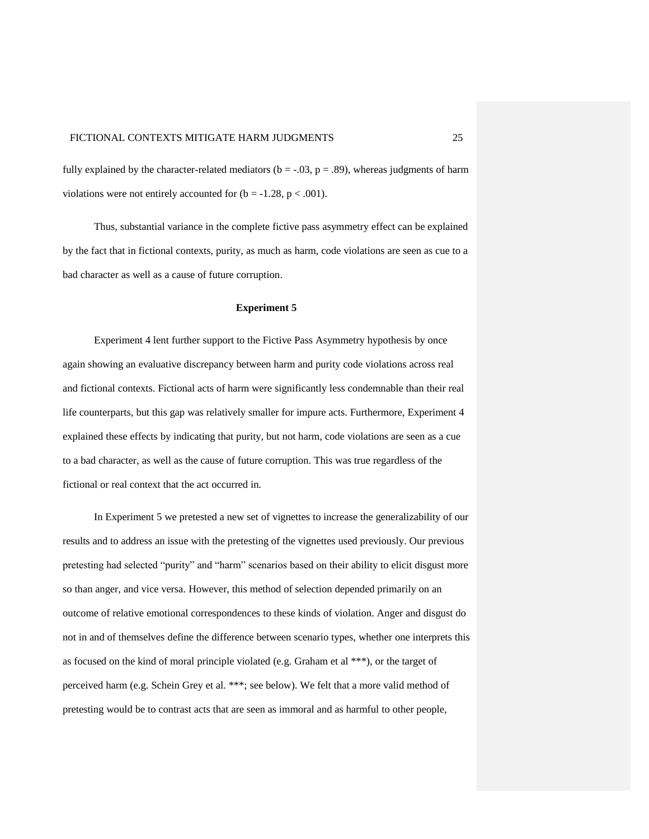fully explained by the character-related mediators ( $b = -.03$ ,  $p = .89$ ), whereas judgments of harm violations were not entirely accounted for  $(b = -1.28, p < .001)$ .

Thus, substantial variance in the complete fictive pass asymmetry effect can be explained by the fact that in fictional contexts, purity, as much as harm, code violations are seen as cue to a bad character as well as a cause of future corruption.

#### **Experiment 5**

Experiment 4 lent further support to the Fictive Pass Asymmetry hypothesis by once again showing an evaluative discrepancy between harm and purity code violations across real and fictional contexts. Fictional acts of harm were significantly less condemnable than their real life counterparts, but this gap was relatively smaller for impure acts. Furthermore, Experiment 4 explained these effects by indicating that purity, but not harm, code violations are seen as a cue to a bad character, as well as the cause of future corruption. This was true regardless of the fictional or real context that the act occurred in.

In Experiment 5 we pretested a new set of vignettes to increase the generalizability of our results and to address an issue with the pretesting of the vignettes used previously. Our previous pretesting had selected "purity" and "harm" scenarios based on their ability to elicit disgust more so than anger, and vice versa. However, this method of selection depended primarily on an outcome of relative emotional correspondences to these kinds of violation. Anger and disgust do not in and of themselves define the difference between scenario types, whether one interprets this as focused on the kind of moral principle violated (e.g. Graham et al \*\*\*), or the target of perceived harm (e.g. Schein Grey et al. \*\*\*; see below). We felt that a more valid method of pretesting would be to contrast acts that are seen as immoral and as harmful to other people,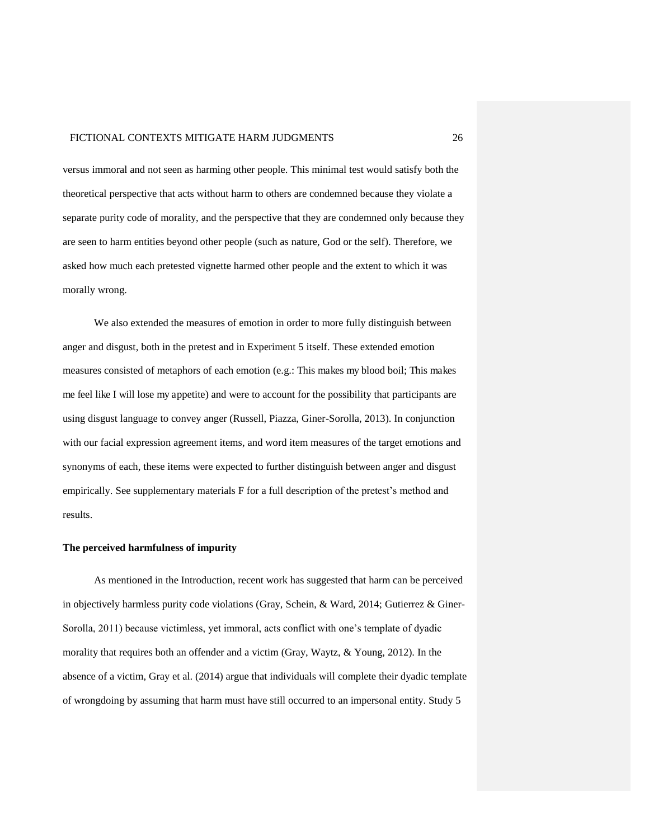versus immoral and not seen as harming other people. This minimal test would satisfy both the theoretical perspective that acts without harm to others are condemned because they violate a separate purity code of morality, and the perspective that they are condemned only because they are seen to harm entities beyond other people (such as nature, God or the self). Therefore, we asked how much each pretested vignette harmed other people and the extent to which it was morally wrong.

We also extended the measures of emotion in order to more fully distinguish between anger and disgust, both in the pretest and in Experiment 5 itself. These extended emotion measures consisted of metaphors of each emotion (e.g.: This makes my blood boil; This makes me feel like I will lose my appetite) and were to account for the possibility that participants are using disgust language to convey anger (Russell, Piazza, Giner-Sorolla, 2013). In conjunction with our facial expression agreement items, and word item measures of the target emotions and synonyms of each, these items were expected to further distinguish between anger and disgust empirically. See supplementary materials F for a full description of the pretest's method and results.

#### **The perceived harmfulness of impurity**

 As mentioned in the Introduction, recent work has suggested that harm can be perceived in objectively harmless purity code violations (Gray, Schein, & Ward, 2014; Gutierrez & Giner-Sorolla, 2011) because victimless, yet immoral, acts conflict with one's template of dyadic morality that requires both an offender and a victim (Gray, Waytz, & Young, 2012). In the absence of a victim, Gray et al. (2014) argue that individuals will complete their dyadic template of wrongdoing by assuming that harm must have still occurred to an impersonal entity. Study 5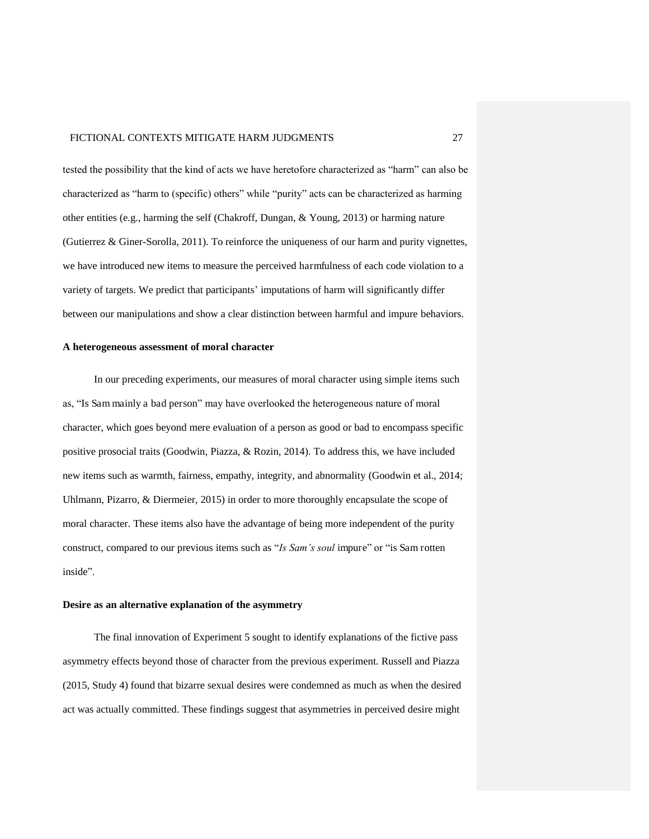tested the possibility that the kind of acts we have heretofore characterized as "harm" can also be characterized as "harm to (specific) others" while "purity" acts can be characterized as harming other entities (e.g., harming the self (Chakroff, Dungan, & Young, 2013) or harming nature (Gutierrez & Giner-Sorolla, 2011). To reinforce the uniqueness of our harm and purity vignettes, we have introduced new items to measure the perceived harmfulness of each code violation to a variety of targets. We predict that participants' imputations of harm will significantly differ between our manipulations and show a clear distinction between harmful and impure behaviors.

#### **A heterogeneous assessment of moral character**

In our preceding experiments, our measures of moral character using simple items such as, "Is Sam mainly a bad person" may have overlooked the heterogeneous nature of moral character, which goes beyond mere evaluation of a person as good or bad to encompass specific positive prosocial traits (Goodwin, Piazza, & Rozin, 2014). To address this, we have included new items such as warmth, fairness, empathy, integrity, and abnormality (Goodwin et al., 2014; Uhlmann, Pizarro, & Diermeier, 2015) in order to more thoroughly encapsulate the scope of moral character. These items also have the advantage of being more independent of the purity construct, compared to our previous items such as "*Is Sam's soul* impure" or "is Sam rotten inside".

#### **Desire as an alternative explanation of the asymmetry**

The final innovation of Experiment 5 sought to identify explanations of the fictive pass asymmetry effects beyond those of character from the previous experiment. Russell and Piazza (2015, Study 4) found that bizarre sexual desires were condemned as much as when the desired act was actually committed. These findings suggest that asymmetries in perceived desire might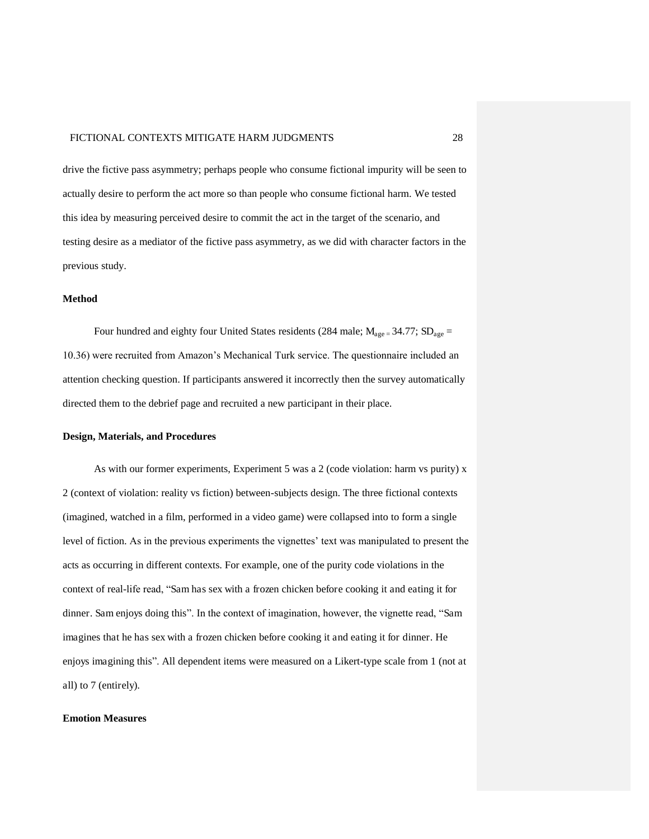drive the fictive pass asymmetry; perhaps people who consume fictional impurity will be seen to actually desire to perform the act more so than people who consume fictional harm. We tested this idea by measuring perceived desire to commit the act in the target of the scenario, and testing desire as a mediator of the fictive pass asymmetry, as we did with character factors in the previous study.

#### **Method**

Four hundred and eighty four United States residents (284 male;  $M_{\text{age}} = 34.77$ ;  $SD_{\text{age}} =$ 10.36) were recruited from Amazon's Mechanical Turk service. The questionnaire included an attention checking question. If participants answered it incorrectly then the survey automatically directed them to the debrief page and recruited a new participant in their place.

#### **Design, Materials, and Procedures**

As with our former experiments, Experiment 5 was a 2 (code violation: harm vs purity) x 2 (context of violation: reality vs fiction) between-subjects design. The three fictional contexts (imagined, watched in a film, performed in a video game) were collapsed into to form a single level of fiction. As in the previous experiments the vignettes' text was manipulated to present the acts as occurring in different contexts. For example, one of the purity code violations in the context of real-life read, "Sam has sex with a frozen chicken before cooking it and eating it for dinner. Sam enjoys doing this". In the context of imagination, however, the vignette read, "Sam imagines that he has sex with a frozen chicken before cooking it and eating it for dinner. He enjoys imagining this". All dependent items were measured on a Likert-type scale from 1 (not at all) to 7 (entirely).

#### **Emotion Measures**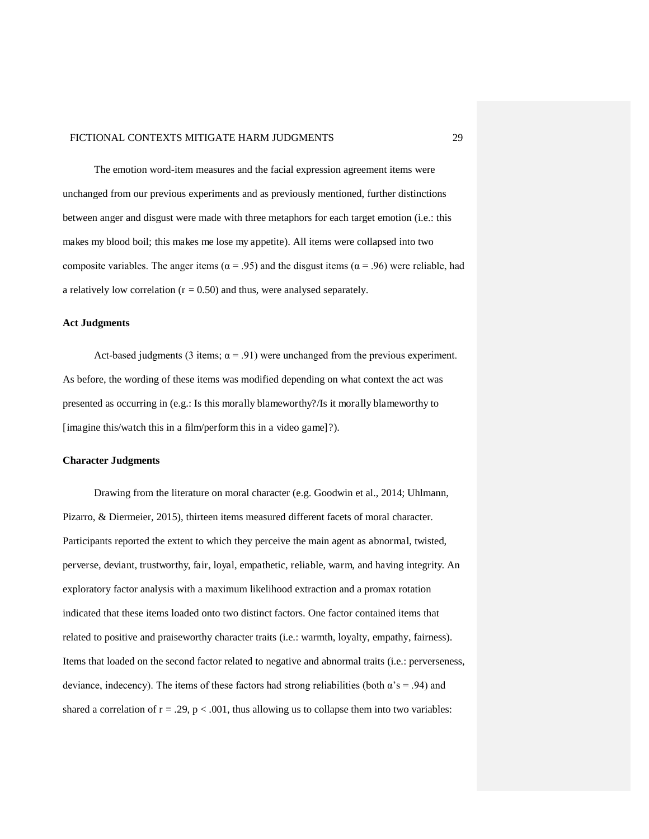The emotion word-item measures and the facial expression agreement items were unchanged from our previous experiments and as previously mentioned, further distinctions between anger and disgust were made with three metaphors for each target emotion (i.e.: this makes my blood boil; this makes me lose my appetite). All items were collapsed into two composite variables. The anger items ( $\alpha$  = .95) and the disgust items ( $\alpha$  = .96) were reliable, had a relatively low correlation ( $r = 0.50$ ) and thus, were analysed separately.

#### **Act Judgments**

Act-based judgments (3 items;  $\alpha$  = .91) were unchanged from the previous experiment. As before, the wording of these items was modified depending on what context the act was presented as occurring in (e.g.: Is this morally blameworthy?/Is it morally blameworthy to [imagine this/watch this in a film/perform this in a video game]?).

#### **Character Judgments**

Drawing from the literature on moral character (e.g. Goodwin et al., 2014; Uhlmann, Pizarro, & Diermeier, 2015), thirteen items measured different facets of moral character. Participants reported the extent to which they perceive the main agent as abnormal, twisted, perverse, deviant, trustworthy, fair, loyal, empathetic, reliable, warm, and having integrity. An exploratory factor analysis with a maximum likelihood extraction and a promax rotation indicated that these items loaded onto two distinct factors. One factor contained items that related to positive and praiseworthy character traits (i.e.: warmth, loyalty, empathy, fairness). Items that loaded on the second factor related to negative and abnormal traits (i.e.: perverseness, deviance, indecency). The items of these factors had strong reliabilities (both  $\alpha$ 's = .94) and shared a correlation of  $r = .29$ ,  $p < .001$ , thus allowing us to collapse them into two variables: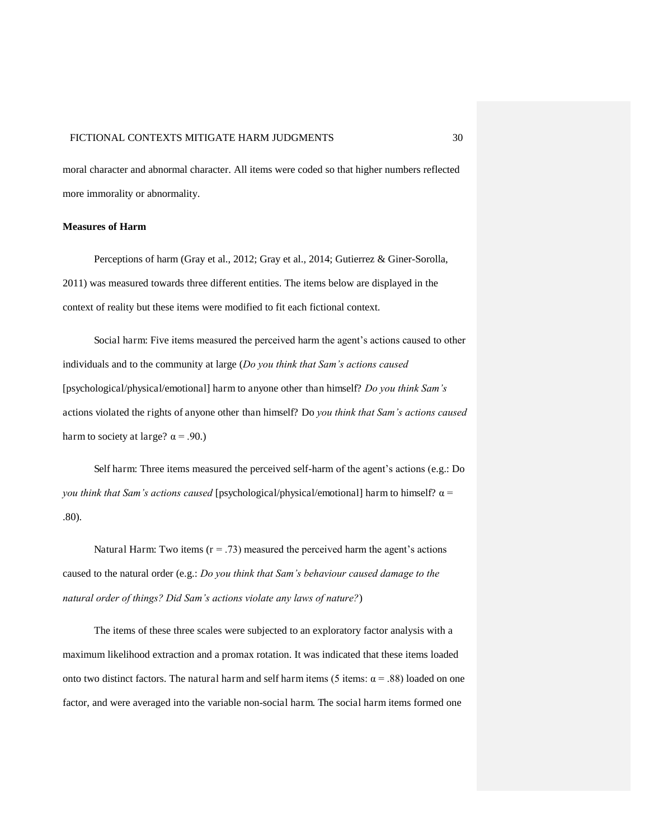moral character and abnormal character. All items were coded so that higher numbers reflected more immorality or abnormality.

#### **Measures of Harm**

 Perceptions of harm (Gray et al., 2012; Gray et al., 2014; Gutierrez & Giner-Sorolla, 2011) was measured towards three different entities. The items below are displayed in the context of reality but these items were modified to fit each fictional context.

Social harm: Five items measured the perceived harm the agent's actions caused to other individuals and to the community at large (*Do you think that Sam's actions caused*  [psychological/physical/emotional] harm to anyone other than himself? *Do you think Sam's*  actions violated the rights of anyone other than himself? Do *you think that Sam's actions caused*  harm to society at large?  $\alpha$  = .90.)

Self harm: Three items measured the perceived self-harm of the agent's actions (e.g.: Do *you think that Sam's actions caused* [psychological/physical/emotional] harm to himself? g = .80).

Natural Harm: Two items  $(r = .73)$  measured the perceived harm the agent's actions caused to the natural order (e.g.: *Do you think that Sam's behaviour caused damage to the natural order of things? Did Sam's actions violate any laws of nature?*)

The items of these three scales were subjected to an exploratory factor analysis with a maximum likelihood extraction and a promax rotation. It was indicated that these items loaded onto two distinct factors. The natural harm and self harm items (5 items:  $\alpha = .88$ ) loaded on one factor, and were averaged into the variable non-social harm. The social harm items formed one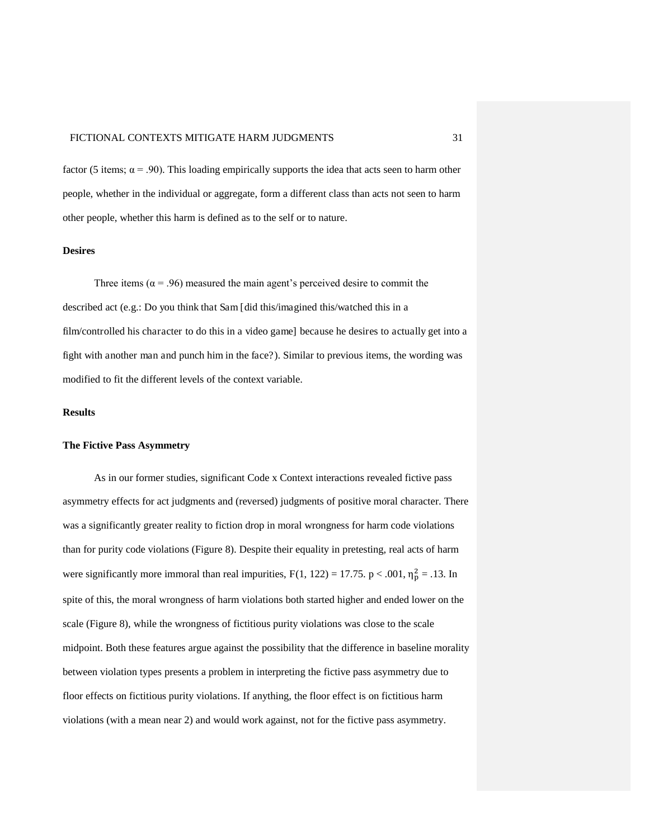factor (5 items;  $\alpha = .90$ ). This loading empirically supports the idea that acts seen to harm other people, whether in the individual or aggregate, form a different class than acts not seen to harm other people, whether this harm is defined as to the self or to nature.

#### **Desires**

Three items ( $\alpha$  = .96) measured the main agent's perceived desire to commit the described act (e.g.: Do you think that Sam [did this/imagined this/watched this in a film/controlled his character to do this in a video game] because he desires to actually get into a fight with another man and punch him in the face?). Similar to previous items, the wording was modified to fit the different levels of the context variable.

#### **Results**

#### **The Fictive Pass Asymmetry**

As in our former studies, significant Code x Context interactions revealed fictive pass asymmetry effects for act judgments and (reversed) judgments of positive moral character. There was a significantly greater reality to fiction drop in moral wrongness for harm code violations than for purity code violations (Figure 8). Despite their equality in pretesting, real acts of harm were significantly more immoral than real impurities,  $F(1, 122) = 17.75$ .  $p < .001$ ,  $\eta_p^2 = .13$ . In spite of this, the moral wrongness of harm violations both started higher and ended lower on the scale (Figure 8), while the wrongness of fictitious purity violations was close to the scale midpoint. Both these features argue against the possibility that the difference in baseline morality between violation types presents a problem in interpreting the fictive pass asymmetry due to floor effects on fictitious purity violations. If anything, the floor effect is on fictitious harm violations (with a mean near 2) and would work against, not for the fictive pass asymmetry.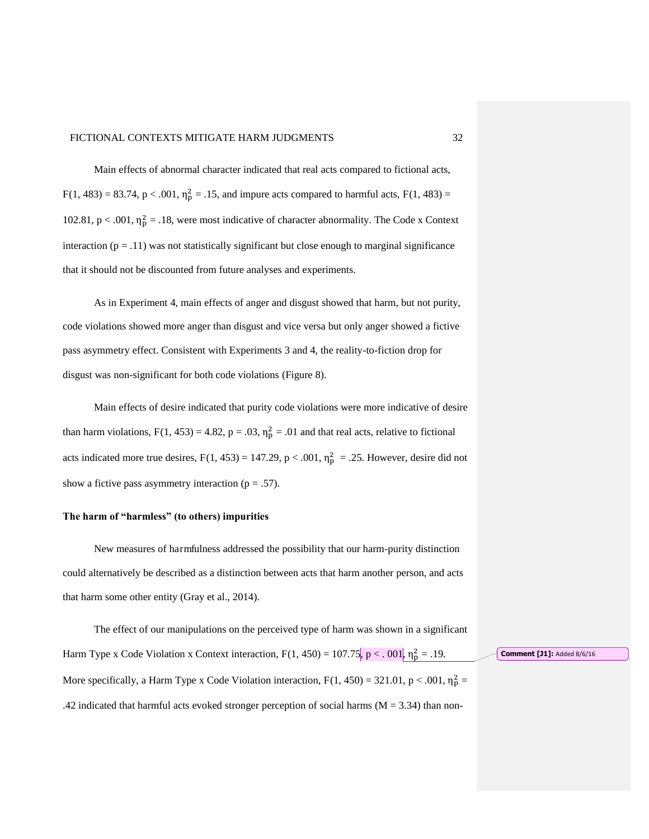Main effects of abnormal character indicated that real acts compared to fictional acts,  $F(1, 483) = 83.74$ ,  $p < .001$ ,  $\eta_p^2 = .15$ , and impure acts compared to harmful acts,  $F(1, 483) =$ 102.81,  $p < .001$ ,  $\eta_p^2 = .18$ , were most indicative of character abnormality. The Code x Context interaction ( $p = .11$ ) was not statistically significant but close enough to marginal significance that it should not be discounted from future analyses and experiments.

 As in Experiment 4, main effects of anger and disgust showed that harm, but not purity, code violations showed more anger than disgust and vice versa but only anger showed a fictive pass asymmetry effect. Consistent with Experiments 3 and 4, the reality-to-fiction drop for disgust was non-significant for both code violations (Figure 8).

Main effects of desire indicated that purity code violations were more indicative of desire than harm violations,  $F(1, 453) = 4.82$ ,  $p = .03$ ,  $\eta_p^2 = .01$  and that real acts, relative to fictional acts indicated more true desires,  $F(1, 453) = 147.29$ ,  $p < .001$ ,  $\eta_p^2 = .25$ . However, desire did not show a fictive pass asymmetry interaction ( $p = .57$ ).

#### **The harm of "harmless" (to others) impurities**

 New measures of harmfulness addressed the possibility that our harm-purity distinction could alternatively be described as a distinction between acts that harm another person, and acts that harm some other entity (Gray et al., 2014).

 The effect of our manipulations on the perceived type of harm was shown in a significant Harm Type x Code Violation x Context interaction,  $F(1, 450) = 107.75$ ,  $p < .001$ ,  $\eta_p^2 = .19$ . More specifically, a Harm Type x Code Violation interaction,  $F(1, 450) = 321.01$ ,  $p < .001$ ,  $\eta_p^2 =$ .42 indicated that harmful acts evoked stronger perception of social harms ( $M = 3.34$ ) than non-

**Comment [J1]:** Added 8/6/16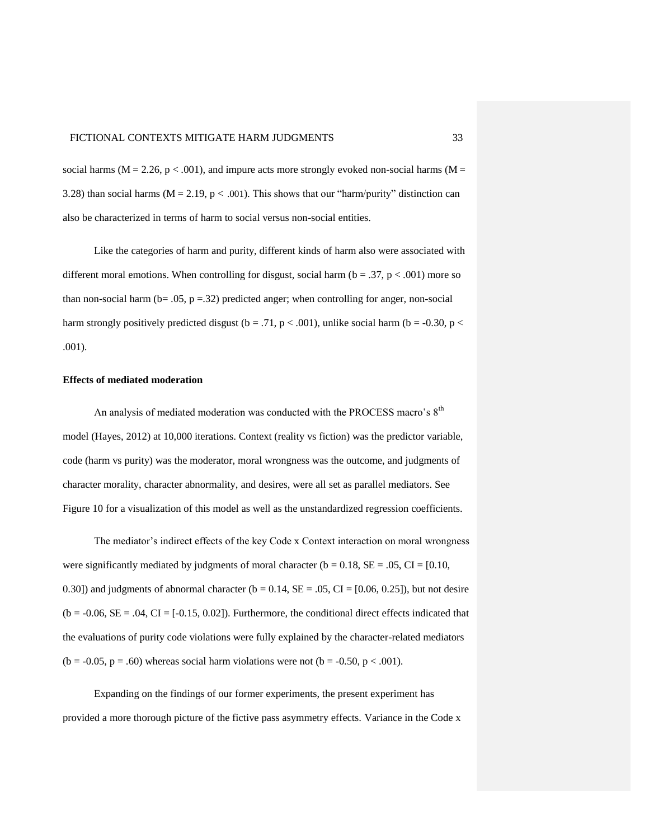social harms ( $M = 2.26$ ,  $p < .001$ ), and impure acts more strongly evoked non-social harms ( $M =$ 3.28) than social harms ( $M = 2.19$ ,  $p < .001$ ). This shows that our "harm/purity" distinction can also be characterized in terms of harm to social versus non-social entities.

 Like the categories of harm and purity, different kinds of harm also were associated with different moral emotions. When controlling for disgust, social harm ( $b = .37$ ,  $p < .001$ ) more so than non-social harm (b=  $.05$ , p =  $.32$ ) predicted anger; when controlling for anger, non-social harm strongly positively predicted disgust (b = .71, p < .001), unlike social harm (b = -0.30, p < .001).

#### **Effects of mediated moderation**

An analysis of mediated moderation was conducted with the PROCESS macro's  $8<sup>th</sup>$ model (Hayes, 2012) at 10,000 iterations. Context (reality vs fiction) was the predictor variable, code (harm vs purity) was the moderator, moral wrongness was the outcome, and judgments of character morality, character abnormality, and desires, were all set as parallel mediators. See Figure 10 for a visualization of this model as well as the unstandardized regression coefficients.

The mediator's indirect effects of the key Code x Context interaction on moral wrongness were significantly mediated by judgments of moral character ( $b = 0.18$ ,  $SE = .05$ ,  $CI = [0.10$ , 0.30]) and judgments of abnormal character ( $b = 0.14$ ,  $SE = .05$ ,  $CI = [0.06, 0.25]$ ), but not desire  $(b = -0.06, SE = .04, CI = [-0.15, 0.02])$ . Furthermore, the conditional direct effects indicated that the evaluations of purity code violations were fully explained by the character-related mediators (b = -0.05, p = .60) whereas social harm violations were not (b = -0.50, p < .001).

 Expanding on the findings of our former experiments, the present experiment has provided a more thorough picture of the fictive pass asymmetry effects. Variance in the Code x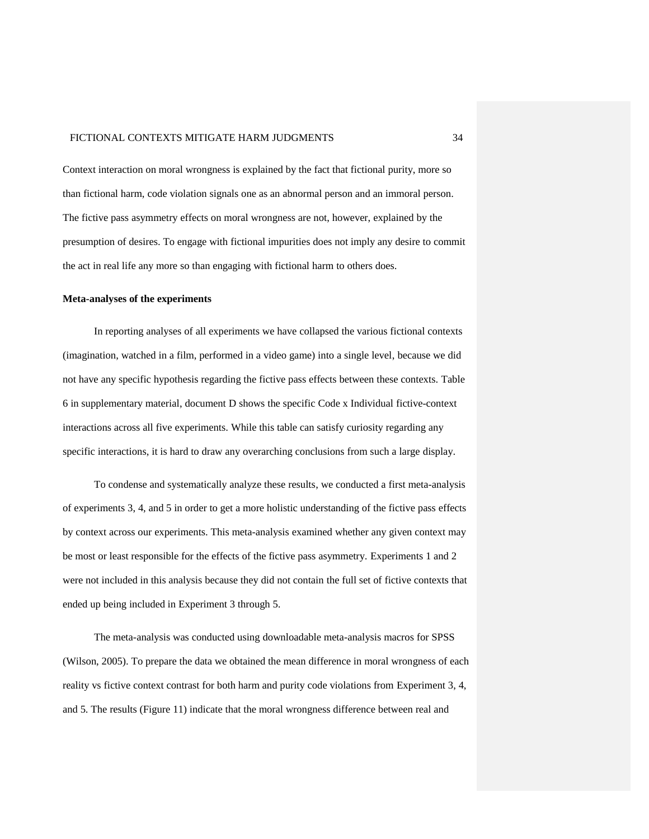Context interaction on moral wrongness is explained by the fact that fictional purity, more so than fictional harm, code violation signals one as an abnormal person and an immoral person. The fictive pass asymmetry effects on moral wrongness are not, however, explained by the presumption of desires. To engage with fictional impurities does not imply any desire to commit the act in real life any more so than engaging with fictional harm to others does.

#### **Meta-analyses of the experiments**

In reporting analyses of all experiments we have collapsed the various fictional contexts (imagination, watched in a film, performed in a video game) into a single level, because we did not have any specific hypothesis regarding the fictive pass effects between these contexts. Table 6 in supplementary material, document D shows the specific Code x Individual fictive-context interactions across all five experiments. While this table can satisfy curiosity regarding any specific interactions, it is hard to draw any overarching conclusions from such a large display.

To condense and systematically analyze these results, we conducted a first meta-analysis of experiments 3, 4, and 5 in order to get a more holistic understanding of the fictive pass effects by context across our experiments. This meta-analysis examined whether any given context may be most or least responsible for the effects of the fictive pass asymmetry. Experiments 1 and 2 were not included in this analysis because they did not contain the full set of fictive contexts that ended up being included in Experiment 3 through 5.

The meta-analysis was conducted using downloadable meta-analysis macros for SPSS (Wilson, 2005). To prepare the data we obtained the mean difference in moral wrongness of each reality vs fictive context contrast for both harm and purity code violations from Experiment 3, 4, and 5. The results (Figure 11) indicate that the moral wrongness difference between real and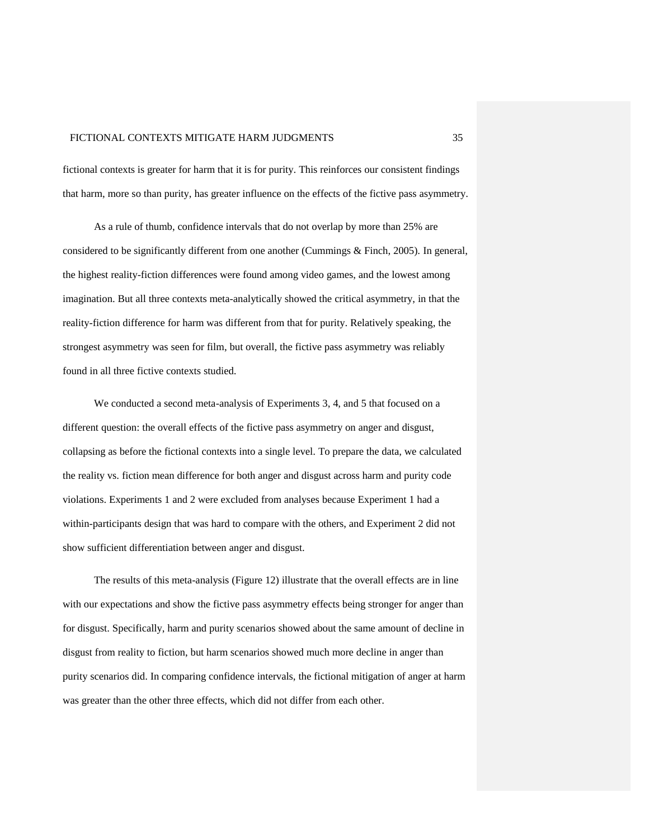fictional contexts is greater for harm that it is for purity. This reinforces our consistent findings that harm, more so than purity, has greater influence on the effects of the fictive pass asymmetry.

As a rule of thumb, confidence intervals that do not overlap by more than 25% are considered to be significantly different from one another (Cummings & Finch, 2005). In general, the highest reality-fiction differences were found among video games, and the lowest among imagination. But all three contexts meta-analytically showed the critical asymmetry, in that the reality-fiction difference for harm was different from that for purity. Relatively speaking, the strongest asymmetry was seen for film, but overall, the fictive pass asymmetry was reliably found in all three fictive contexts studied.

We conducted a second meta-analysis of Experiments 3, 4, and 5 that focused on a different question: the overall effects of the fictive pass asymmetry on anger and disgust, collapsing as before the fictional contexts into a single level. To prepare the data, we calculated the reality vs. fiction mean difference for both anger and disgust across harm and purity code violations. Experiments 1 and 2 were excluded from analyses because Experiment 1 had a within-participants design that was hard to compare with the others, and Experiment 2 did not show sufficient differentiation between anger and disgust.

The results of this meta-analysis (Figure 12) illustrate that the overall effects are in line with our expectations and show the fictive pass asymmetry effects being stronger for anger than for disgust. Specifically, harm and purity scenarios showed about the same amount of decline in disgust from reality to fiction, but harm scenarios showed much more decline in anger than purity scenarios did. In comparing confidence intervals, the fictional mitigation of anger at harm was greater than the other three effects, which did not differ from each other.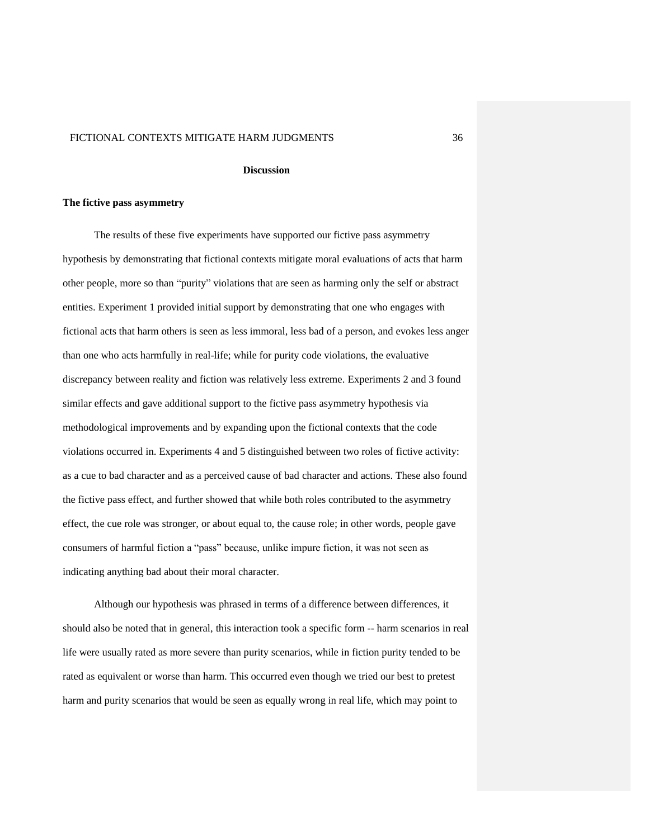#### **Discussion**

#### **The fictive pass asymmetry**

The results of these five experiments have supported our fictive pass asymmetry hypothesis by demonstrating that fictional contexts mitigate moral evaluations of acts that harm other people, more so than "purity" violations that are seen as harming only the self or abstract entities. Experiment 1 provided initial support by demonstrating that one who engages with fictional acts that harm others is seen as less immoral, less bad of a person, and evokes less anger than one who acts harmfully in real-life; while for purity code violations, the evaluative discrepancy between reality and fiction was relatively less extreme. Experiments 2 and 3 found similar effects and gave additional support to the fictive pass asymmetry hypothesis via methodological improvements and by expanding upon the fictional contexts that the code violations occurred in. Experiments 4 and 5 distinguished between two roles of fictive activity: as a cue to bad character and as a perceived cause of bad character and actions. These also found the fictive pass effect, and further showed that while both roles contributed to the asymmetry effect, the cue role was stronger, or about equal to, the cause role; in other words, people gave consumers of harmful fiction a "pass" because, unlike impure fiction, it was not seen as indicating anything bad about their moral character.

Although our hypothesis was phrased in terms of a difference between differences, it should also be noted that in general, this interaction took a specific form -- harm scenarios in real life were usually rated as more severe than purity scenarios, while in fiction purity tended to be rated as equivalent or worse than harm. This occurred even though we tried our best to pretest harm and purity scenarios that would be seen as equally wrong in real life, which may point to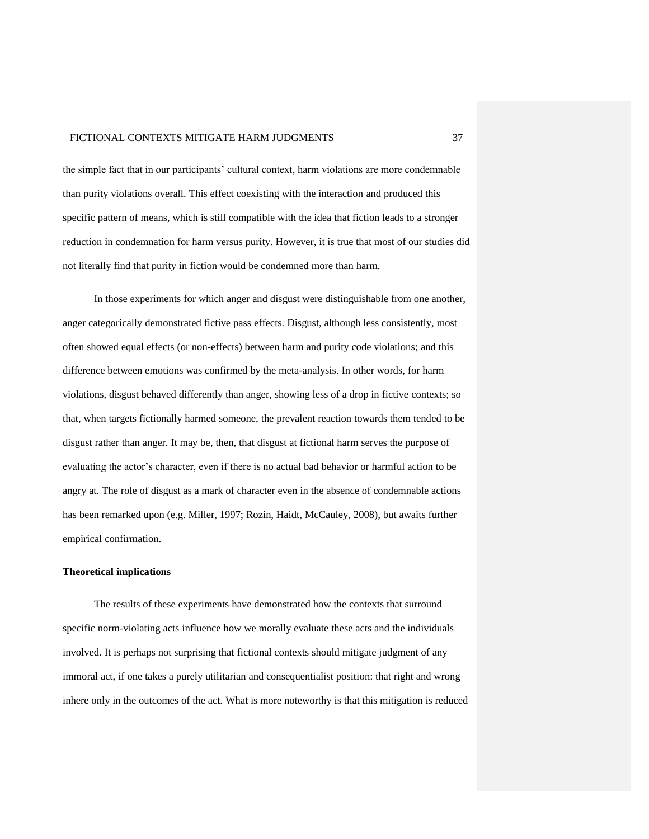the simple fact that in our participants' cultural context, harm violations are more condemnable than purity violations overall. This effect coexisting with the interaction and produced this specific pattern of means, which is still compatible with the idea that fiction leads to a stronger reduction in condemnation for harm versus purity. However, it is true that most of our studies did not literally find that purity in fiction would be condemned more than harm.

In those experiments for which anger and disgust were distinguishable from one another, anger categorically demonstrated fictive pass effects. Disgust, although less consistently, most often showed equal effects (or non-effects) between harm and purity code violations; and this difference between emotions was confirmed by the meta-analysis. In other words, for harm violations, disgust behaved differently than anger, showing less of a drop in fictive contexts; so that, when targets fictionally harmed someone, the prevalent reaction towards them tended to be disgust rather than anger. It may be, then, that disgust at fictional harm serves the purpose of evaluating the actor's character, even if there is no actual bad behavior or harmful action to be angry at. The role of disgust as a mark of character even in the absence of condemnable actions has been remarked upon (e.g. Miller, 1997; Rozin, Haidt, McCauley, 2008), but awaits further empirical confirmation.

#### **Theoretical implications**

The results of these experiments have demonstrated how the contexts that surround specific norm-violating acts influence how we morally evaluate these acts and the individuals involved. It is perhaps not surprising that fictional contexts should mitigate judgment of any immoral act, if one takes a purely utilitarian and consequentialist position: that right and wrong inhere only in the outcomes of the act. What is more noteworthy is that this mitigation is reduced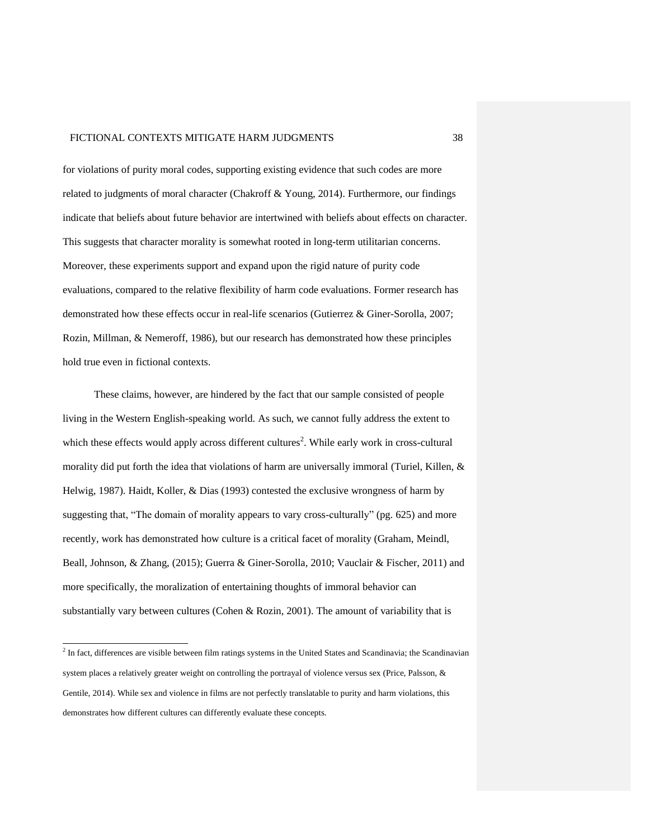for violations of purity moral codes, supporting existing evidence that such codes are more related to judgments of moral character (Chakroff & Young, 2014). Furthermore, our findings indicate that beliefs about future behavior are intertwined with beliefs about effects on character. This suggests that character morality is somewhat rooted in long-term utilitarian concerns. Moreover, these experiments support and expand upon the rigid nature of purity code evaluations, compared to the relative flexibility of harm code evaluations. Former research has demonstrated how these effects occur in real-life scenarios (Gutierrez & Giner-Sorolla, 2007; Rozin, Millman, & Nemeroff, 1986), but our research has demonstrated how these principles hold true even in fictional contexts.

These claims, however, are hindered by the fact that our sample consisted of people living in the Western English-speaking world. As such, we cannot fully address the extent to which these effects would apply across different cultures<sup>2</sup>. While early work in cross-cultural morality did put forth the idea that violations of harm are universally immoral (Turiel, Killen, & Helwig, 1987). Haidt, Koller, & Dias (1993) contested the exclusive wrongness of harm by suggesting that, "The domain of morality appears to vary cross-culturally" (pg. 625) and more recently, work has demonstrated how culture is a critical facet of morality (Graham, Meindl, Beall, Johnson, & Zhang, (2015); Guerra & Giner-Sorolla, 2010; Vauclair & Fischer, 2011) and more specifically, the moralization of entertaining thoughts of immoral behavior can substantially vary between cultures (Cohen & Rozin, 2001). The amount of variability that is

 2 In fact, differences are visible between film ratings systems in the United States and Scandinavia; the Scandinavian system places a relatively greater weight on controlling the portrayal of violence versus sex (Price, Palsson, & Gentile, 2014). While sex and violence in films are not perfectly translatable to purity and harm violations, this demonstrates how different cultures can differently evaluate these concepts.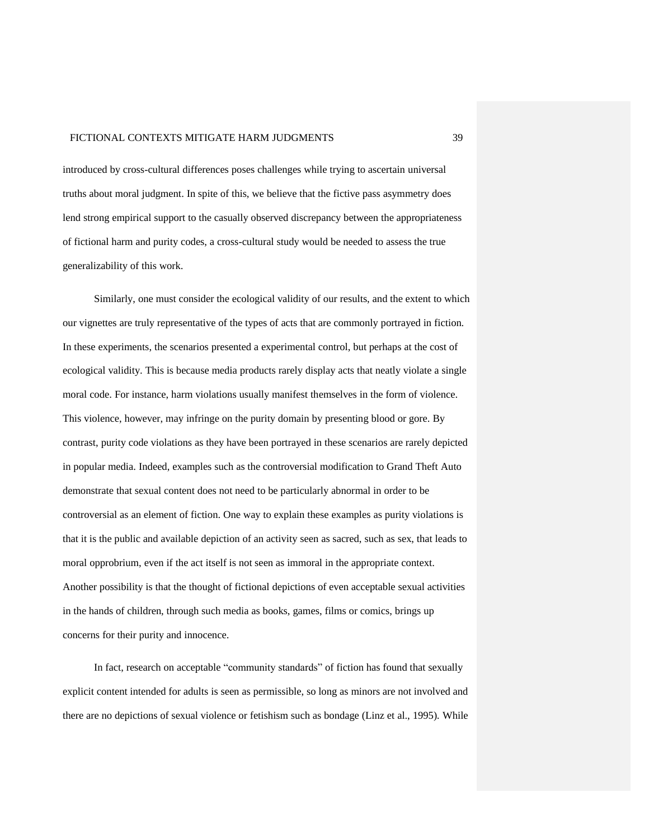introduced by cross-cultural differences poses challenges while trying to ascertain universal truths about moral judgment. In spite of this, we believe that the fictive pass asymmetry does lend strong empirical support to the casually observed discrepancy between the appropriateness of fictional harm and purity codes, a cross-cultural study would be needed to assess the true generalizability of this work.

Similarly, one must consider the ecological validity of our results, and the extent to which our vignettes are truly representative of the types of acts that are commonly portrayed in fiction. In these experiments, the scenarios presented a experimental control, but perhaps at the cost of ecological validity. This is because media products rarely display acts that neatly violate a single moral code. For instance, harm violations usually manifest themselves in the form of violence. This violence, however, may infringe on the purity domain by presenting blood or gore. By contrast, purity code violations as they have been portrayed in these scenarios are rarely depicted in popular media. Indeed, examples such as the controversial modification to Grand Theft Auto demonstrate that sexual content does not need to be particularly abnormal in order to be controversial as an element of fiction. One way to explain these examples as purity violations is that it is the public and available depiction of an activity seen as sacred, such as sex, that leads to moral opprobrium, even if the act itself is not seen as immoral in the appropriate context. Another possibility is that the thought of fictional depictions of even acceptable sexual activities in the hands of children, through such media as books, games, films or comics, brings up concerns for their purity and innocence.

In fact, research on acceptable "community standards" of fiction has found that sexually explicit content intended for adults is seen as permissible, so long as minors are not involved and there are no depictions of sexual violence or fetishism such as bondage (Linz et al., 1995). While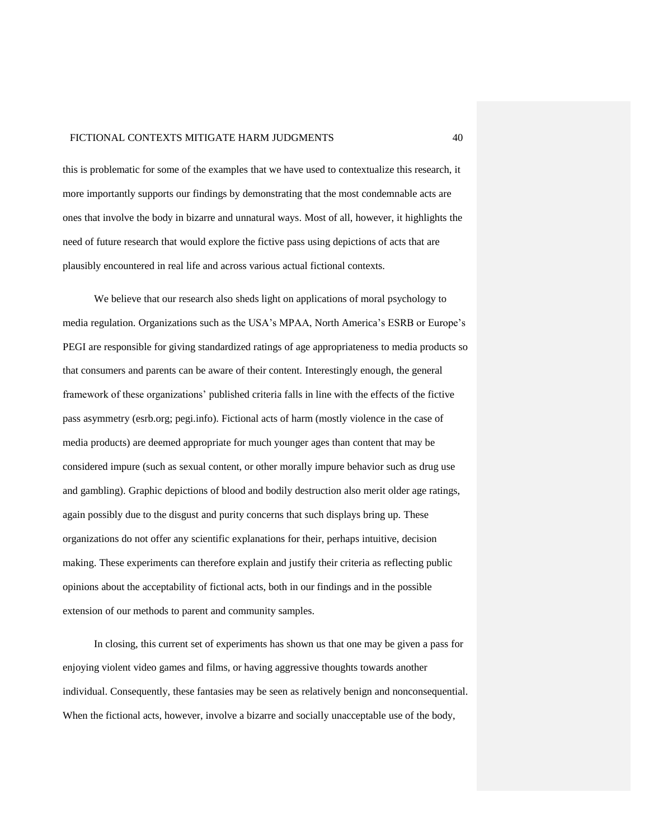this is problematic for some of the examples that we have used to contextualize this research, it more importantly supports our findings by demonstrating that the most condemnable acts are ones that involve the body in bizarre and unnatural ways. Most of all, however, it highlights the need of future research that would explore the fictive pass using depictions of acts that are plausibly encountered in real life and across various actual fictional contexts.

We believe that our research also sheds light on applications of moral psychology to media regulation. Organizations such as the USA's MPAA, North America's ESRB or Europe's PEGI are responsible for giving standardized ratings of age appropriateness to media products so that consumers and parents can be aware of their content. Interestingly enough, the general framework of these organizations' published criteria falls in line with the effects of the fictive pass asymmetry (esrb.org; pegi.info). Fictional acts of harm (mostly violence in the case of media products) are deemed appropriate for much younger ages than content that may be considered impure (such as sexual content, or other morally impure behavior such as drug use and gambling). Graphic depictions of blood and bodily destruction also merit older age ratings, again possibly due to the disgust and purity concerns that such displays bring up. These organizations do not offer any scientific explanations for their, perhaps intuitive, decision making. These experiments can therefore explain and justify their criteria as reflecting public opinions about the acceptability of fictional acts, both in our findings and in the possible extension of our methods to parent and community samples.

In closing, this current set of experiments has shown us that one may be given a pass for enjoying violent video games and films, or having aggressive thoughts towards another individual. Consequently, these fantasies may be seen as relatively benign and nonconsequential. When the fictional acts, however, involve a bizarre and socially unacceptable use of the body,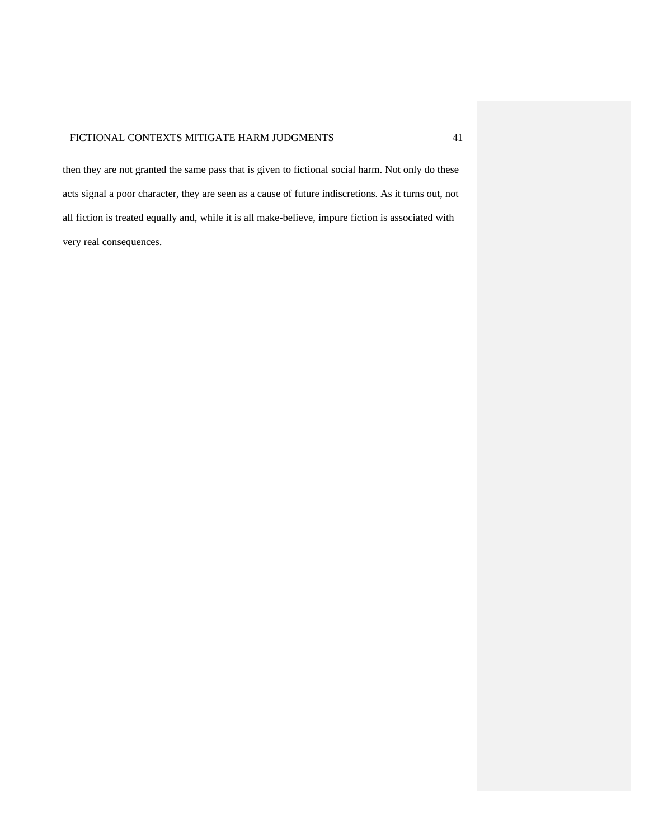then they are not granted the same pass that is given to fictional social harm. Not only do these acts signal a poor character, they are seen as a cause of future indiscretions. As it turns out, not all fiction is treated equally and, while it is all make-believe, impure fiction is associated with very real consequences.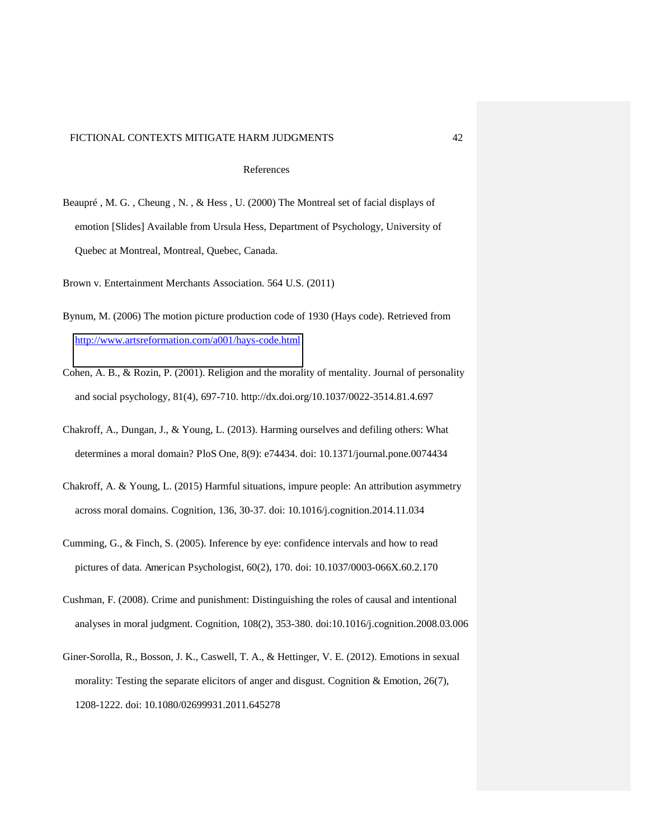#### References

Beaupré , M. G. , Cheung , N. , & Hess , U. (2000) The Montreal set of facial displays of emotion [Slides] Available from Ursula Hess, Department of Psychology, University of Quebec at Montreal, Montreal, Quebec, Canada.

Brown v. Entertainment Merchants Association. 564 U.S. (2011)

- Bynum, M. (2006) The motion picture production code of 1930 (Hays code). Retrieved from <http://www.artsreformation.com/a001/hays-code.html>
- Cohen, A. B., & Rozin, P. (2001). Religion and the morality of mentality. Journal of personality and social psychology, 81(4), 697-710. http://dx.doi.org/10.1037/0022-3514.81.4.697
- Chakroff, A., Dungan, J., & Young, L. (2013). Harming ourselves and defiling others: What determines a moral domain? PloS One, 8(9): e74434. doi: 10.1371/journal.pone.0074434
- Chakroff, A. & Young, L. (2015) Harmful situations, impure people: An attribution asymmetry across moral domains. Cognition, 136, 30-37. doi: 10.1016/j.cognition.2014.11.034
- Cumming, G., & Finch, S. (2005). Inference by eye: confidence intervals and how to read pictures of data. American Psychologist, 60(2), 170. doi: 10.1037/0003-066X.60.2.170
- Cushman, F. (2008). Crime and punishment: Distinguishing the roles of causal and intentional analyses in moral judgment. Cognition, 108(2), 353-380. doi:10.1016/j.cognition.2008.03.006
- Giner-Sorolla, R., Bosson, J. K., Caswell, T. A., & Hettinger, V. E. (2012). Emotions in sexual morality: Testing the separate elicitors of anger and disgust. Cognition & Emotion, 26(7), 1208-1222. doi: 10.1080/02699931.2011.645278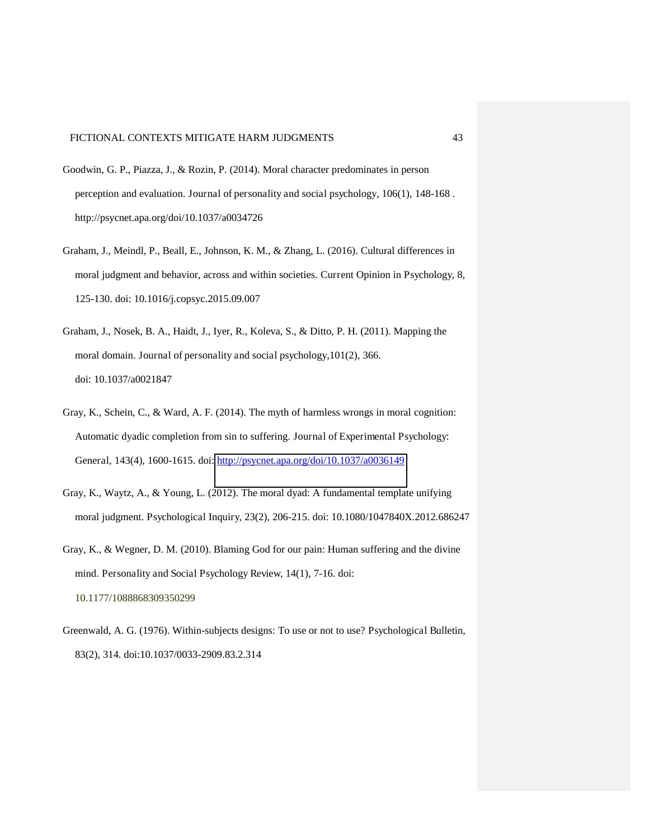- Goodwin, G. P., Piazza, J., & Rozin, P. (2014). Moral character predominates in person perception and evaluation. Journal of personality and social psychology, 106(1), 148-168 . http://psycnet.apa.org/doi/10.1037/a0034726
- Graham, J., Meindl, P., Beall, E., Johnson, K. M., & Zhang, L. (2016). Cultural differences in moral judgment and behavior, across and within societies. Current Opinion in Psychology, 8, 125-130. doi: 10.1016/j.copsyc.2015.09.007
- Graham, J., Nosek, B. A., Haidt, J., Iyer, R., Koleva, S., & Ditto, P. H. (2011). Mapping the moral domain. Journal of personality and social psychology,101(2), 366. doi: 10.1037/a0021847
- Gray, K., Schein, C., & Ward, A. F. (2014). The myth of harmless wrongs in moral cognition: Automatic dyadic completion from sin to suffering. Journal of Experimental Psychology: General, 143(4), 1600-1615. doi:<http://psycnet.apa.org/doi/10.1037/a0036149>
- Gray, K., Waytz, A., & Young, L. (2012). The moral dyad: A fundamental template unifying moral judgment. Psychological Inquiry, 23(2), 206-215. doi: 10.1080/1047840X.2012.686247
- Gray, K., & Wegner, D. M. (2010). Blaming God for our pain: Human suffering and the divine mind. Personality and Social Psychology Review, 14(1), 7-16. doi: 10.1177/1088868309350299
- Greenwald, A. G. (1976). Within-subjects designs: To use or not to use? Psychological Bulletin, 83(2), 314. doi:10.1037/0033-2909.83.2.314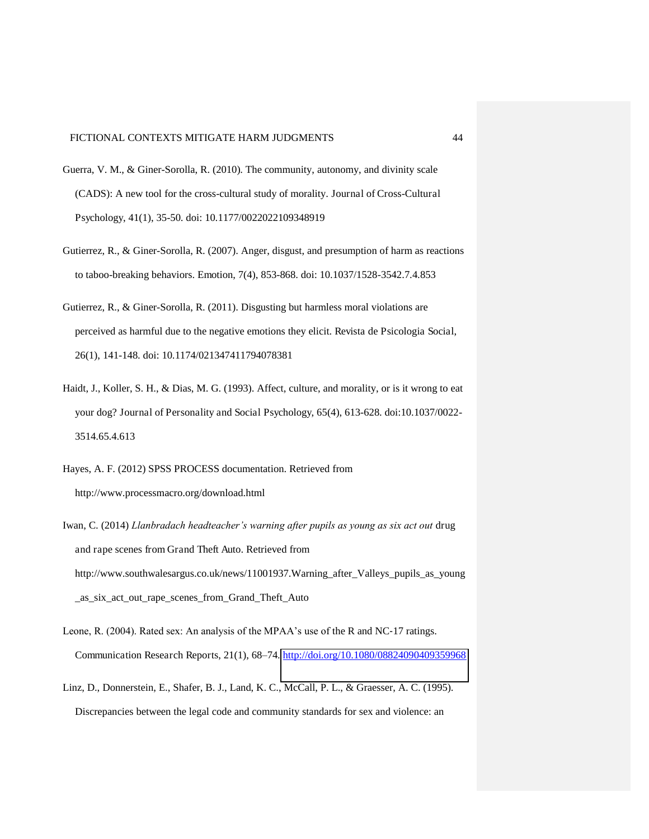- Guerra, V. M., & Giner-Sorolla, R. (2010). The community, autonomy, and divinity scale (CADS): A new tool for the cross-cultural study of morality. Journal of Cross-Cultural Psychology, 41(1), 35-50. doi: 10.1177/0022022109348919
- Gutierrez, R., & Giner-Sorolla, R. (2007). Anger, disgust, and presumption of harm as reactions to taboo-breaking behaviors. Emotion, 7(4), 853-868. doi: 10.1037/1528-3542.7.4.853
- Gutierrez, R., & Giner-Sorolla, R. (2011). Disgusting but harmless moral violations are perceived as harmful due to the negative emotions they elicit. Revista de Psicologia Social, 26(1), 141-148. doi: 10.1174/021347411794078381
- Haidt, J., Koller, S. H., & Dias, M. G. (1993). Affect, culture, and morality, or is it wrong to eat your dog? Journal of Personality and Social Psychology, 65(4), 613-628. doi:10.1037/0022- 3514.65.4.613
- Hayes, A. F. (2012) SPSS PROCESS documentation. Retrieved from http://www.processmacro.org/download.html
- Iwan, C. (2014) *Llanbradach headteacher's warning after pupils as young as six act out* drug and rape scenes from Grand Theft Auto. Retrieved from http://www.southwalesargus.co.uk/news/11001937.Warning\_after\_Valleys\_pupils\_as\_young \_as\_six\_act\_out\_rape\_scenes\_from\_Grand\_Theft\_Auto
- Leone, R. (2004). Rated sex: An analysis of the MPAA's use of the R and NC-17 ratings. Communication Research Reports, 21(1), 68–74.<http://doi.org/10.1080/08824090409359968>
- Linz, D., Donnerstein, E., Shafer, B. J., Land, K. C., McCall, P. L., & Graesser, A. C. (1995). Discrepancies between the legal code and community standards for sex and violence: an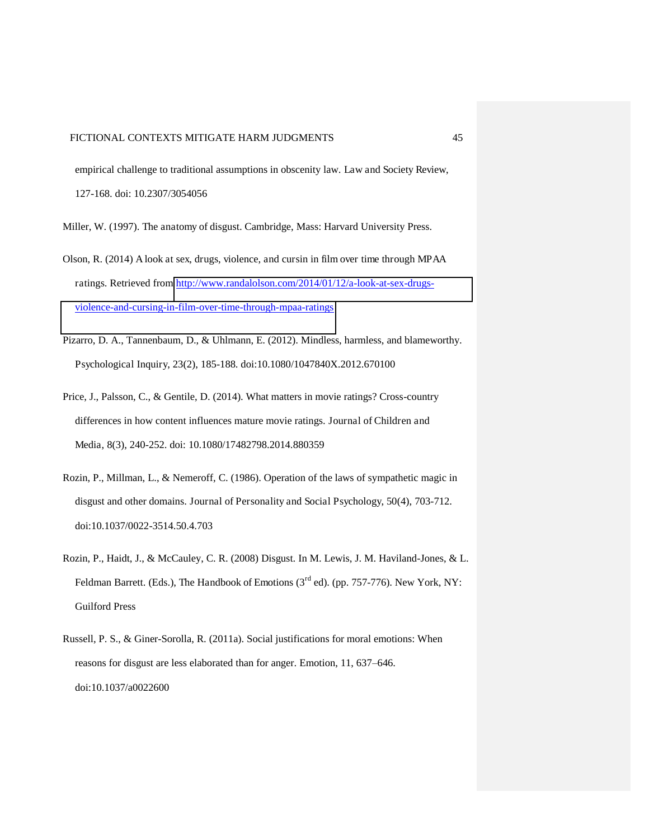empirical challenge to traditional assumptions in obscenity law. Law and Society Review, 127-168. doi: 10.2307/3054056

- Miller, W. (1997). The anatomy of disgust. Cambridge, Mass: Harvard University Press.
- Olson, R. (2014) A look at sex, drugs, violence, and cursin in film over time through MPAA ratings. Retrieved from [http://www.randalolson.com/2014/01/12/a-look-at-sex-drugs](http://www.randalolson.com/2014/01/12/a-look-at-sex-drugs-violence-and-cursing-in-film-over-time-through-mpaa-ratings)[violence-and-cursing-in-film-over-time-through-mpaa-ratings](http://www.randalolson.com/2014/01/12/a-look-at-sex-drugs-violence-and-cursing-in-film-over-time-through-mpaa-ratings)
- Pizarro, D. A., Tannenbaum, D., & Uhlmann, E. (2012). Mindless, harmless, and blameworthy. Psychological Inquiry, 23(2), 185-188. doi:10.1080/1047840X.2012.670100
- Price, J., Palsson, C., & Gentile, D. (2014). What matters in movie ratings? Cross-country differences in how content influences mature movie ratings. Journal of Children and Media, 8(3), 240-252. doi: 10.1080/17482798.2014.880359
- Rozin, P., Millman, L., & Nemeroff, C. (1986). Operation of the laws of sympathetic magic in disgust and other domains. Journal of Personality and Social Psychology, 50(4), 703-712. doi:10.1037/0022-3514.50.4.703
- Rozin, P., Haidt, J., & McCauley, C. R. (2008) Disgust. In M. Lewis, J. M. Haviland-Jones, & L. Feldman Barrett. (Eds.), The Handbook of Emotions ( $3<sup>rd</sup>$  ed). (pp. 757-776). New York, NY: Guilford Press
- Russell, P. S., & Giner-Sorolla, R. (2011a). Social justifications for moral emotions: When reasons for disgust are less elaborated than for anger. Emotion, 11, 637–646. doi:10.1037/a0022600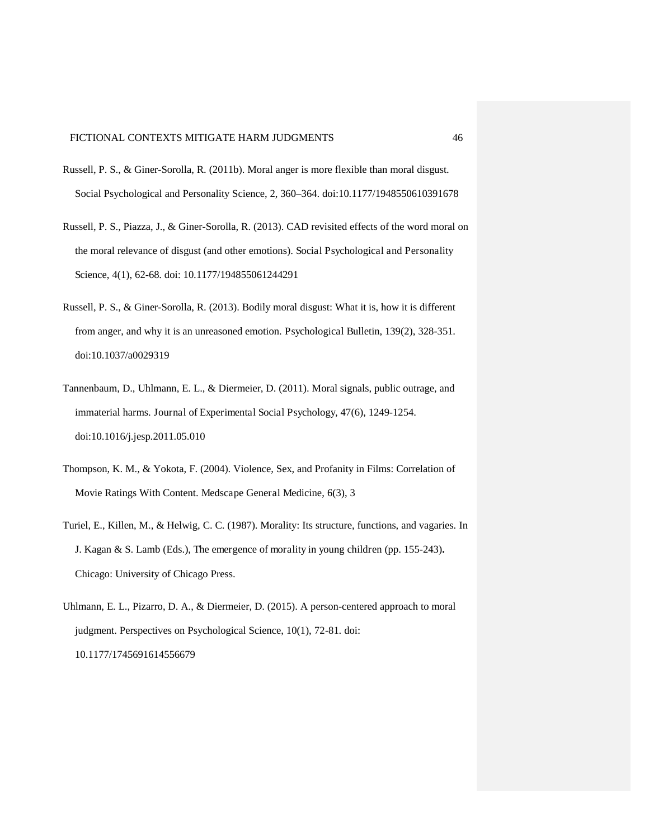- Russell, P. S., & Giner-Sorolla, R. (2011b). Moral anger is more flexible than moral disgust. Social Psychological and Personality Science, 2, 360–364. doi:10.1177/1948550610391678
- Russell, P. S., Piazza, J., & Giner-Sorolla, R. (2013). CAD revisited effects of the word moral on the moral relevance of disgust (and other emotions). Social Psychological and Personality Science, 4(1), 62-68. doi: 10.1177/194855061244291
- Russell, P. S., & Giner-Sorolla, R. (2013). Bodily moral disgust: What it is, how it is different from anger, and why it is an unreasoned emotion. Psychological Bulletin, 139(2), 328-351. doi:10.1037/a0029319
- Tannenbaum, D., Uhlmann, E. L., & Diermeier, D. (2011). Moral signals, public outrage, and immaterial harms. Journal of Experimental Social Psychology, 47(6), 1249-1254. doi:10.1016/j.jesp.2011.05.010
- Thompson, K. M., & Yokota, F. (2004). Violence, Sex, and Profanity in Films: Correlation of Movie Ratings With Content. Medscape General Medicine, 6(3), 3
- Turiel, E., Killen, M., & Helwig, C. C. (1987). Morality: Its structure, functions, and vagaries. In J. Kagan & S. Lamb (Eds.), The emergence of morality in young children (pp. 155-243)**.**  Chicago: University of Chicago Press.
- Uhlmann, E. L., Pizarro, D. A., & Diermeier, D. (2015). A person-centered approach to moral judgment. Perspectives on Psychological Science, 10(1), 72-81. doi: 10.1177/1745691614556679